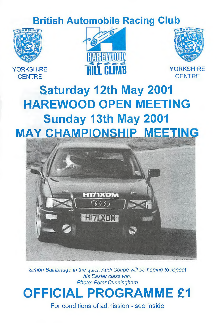## **British Automobile Racing Club**



**YORKSHIRE** 





**CENTRE** 

# **Saturday 12th May 2001 HAREWOOD OPEN MEETING Sunday 13th May 2001 MAY CHAMPIONSHIP MEETING**



*Simon Bainbridge in the quick Audi Coupe will be hoping to repeat his Easter class win. Photo: Peter Cunningham*

# **OFFICIAL PROGRAMME £1**

For conditions of admission - see inside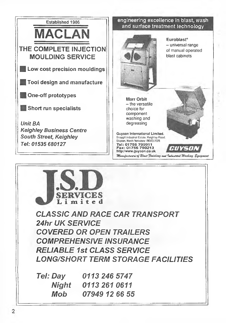

**SERVICES** L i m i t e d *CLASSIC AND RACE CAR TRANSPORT 24hr UK SERVICE COVERED OR OPEN TRAILERS COMPREHENSIVE INSURANCE RELIABLE 1st CLASS SERVICE LONG/SHORT TERM STORAGE FACILITIES Tel: Day 0113 246 5747 Night 0113 261 0611 Mob 07949 12 66 55*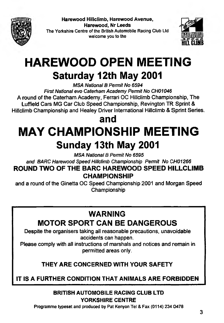

**Harewood Hillclimb, Harewood Avenue, Harewood, Nr Leeds** The Yorkshire Centre of the British Automobile Racing Club Ltd welcome you to the



# **HAREWOOD OPEN MEETING**

# **Saturday 12th May 2001**

*MSA National B Permit No 6594 First National evo Caterfiam Academy Permit No CH01046* **A round of the Caterham Academy, Ferrari OC Hitlclimb Championship, The Luffield Cars MG Car Club Speed Championship, Revington TR Sprint & Hillclimb Championship and Healey Driver International Hillclimb & Sprint Series.**

# **and MAY CHAMPIONSHIP MEETING Sunday 13th May 2001**

*MSA National B Penuit No 6595*

*and BARC Harewood Speed Hillclimb Championship Permit No CH01266*

**ROUND TWO OF THE BARC HAREWOOD SPEED HILLCLIMB CHAMPIONSHIP**

**and a round of the Ginetta OC Speed Championship 2001 and Morgan Speed Championship**

## **WARNING**

**MOTOR SPORT CAN BE DANGEROUS**

**Despite the organisers taking all reasonable precautions, unavoidable accidents can happen.**

**Please comply with all instructions of marshals and notices and remain in permitted areas only.**

## **THEY ARE CONCERNED WITH YOUR SAFETY**

## **IT IS A FURTHER CONDITION THAT ANIMALS ARE FORBIDDEN**

#### **BRITISH AUTOMOBILE RACING CLUB LTD YORKSHIRE CENTRE**

Programme typeset and produced by Pat Kenyon Tel & Fax (0114) 234 0478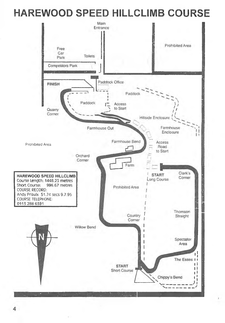# **HAREWOOD SPEED HILLCLIMB COURSE**

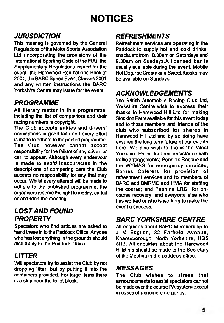# **NOTICES**

## *JURISDICTION*

**This meeting is governed by the General Regulations of the Motor Sports Association Ltd (incorporating the provisions of the International Sporting Code of the FIA), the Supplementary Regulations issued for the event, the Harewood Regulations Booklet 2001, the BARC Speed Event Classes 2001 and any written instructions the BARC Yorkshire Centre may issue for the event.**

## *PROGRAMME*

**All literary matter in this programme, including the list of competitors and their racing numbers is copyright.**

**The Club accepts entries and drivers' nominations in good faith and every effort is made to adhere to the printed programme. The Club however cannot accept responsibility for the failure of any driver, or car, to appear. Although every endeavour is made to avoid inaccuracies in the descriptions of competing cars the Club accepts no responsibility for any that may occur. Whilst every attempt will be made to adhere to the published programme, the organisers reserve the right to modify, curtail or abandon the meeting.**

## *LOST AND FOUND PROPERTY*

**Spectators who find articles are asked to hand these in to the Paddock Office. Anyone who has lost anything in the grounds should also apply to the Paddock Office.**

## *UTTER*

**Will spectators try to assist the Club by not dropping litter, but by putting it into the containers provided. For large items there is a skip near the toilet block.**

## *REFRESHMENTS*

**Refreshment services are operating in the Paddock to supply hot and cold drinks, snacks etc from 10.30am on Saturdays and 9.30am on Sundays.A licensed bar is usually available during the event. Mobile Hot Dog, Ice Cream and Sweet Kiosks may be available on Sundays.**

## *ACKNOWLEDGEMENTS*

**The British Automobile Racing Club Ltd, Yorkshire Centre wish to express their thanks to Harewood Hill Ltd for making Stockton Famn available for this event today and to those members and friends of the club who subscribed for shares in Harewood Hill Ltd and by so doing have ensured the long term future of our events here. We also wish to thank the West** Yorkshire Police for their assistance with **traffic an'angements; Pennine Rescue and the WYMAS for emergency services: Barnes Caterers for provision of refreshment services and to members of BARC and BMRMC and HMA for staffing the course; and Pennine LRC for oncourse recovery; and everyone else who** has worked or who is working to make the **event a success.**

## *BARC YORKSHIRE CENTRE*

**All enquiries about BARC Membership to J M English, 32 Farfield Avenue, Knaresborough, North Yorkshire, HG5 8HB. All enquiries about the Harewood Hillclimb should be made to the Secretary of the Meeting in the paddock office.**

#### *MESSAGES*

**The Club wishes to stress that announcements to assist spectators cannot be made over the course PA system except in cases of genuine emergency.**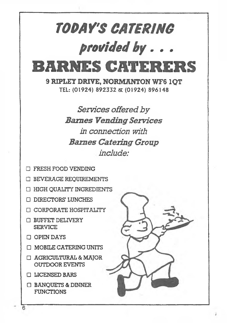# *TOMY'S CATBRING* provided by . . **BARNES CATERERS**

9 RIPLEY DRIVE, NORMANTON WF6 1OT TEL: (01924) 892332 & (01924) 896148

> *Services offered by Sames Vending Services in connection with Baines Catering Group include:*

- □ FRESH FOOD VENDING
- □ BEVERAGE REQUIREMENTS
- □ fflGH QUALITY INGREDIENTS
- □ DIRECTORS' LUNCHES
- □ CORPORATE HOSPITALITY
- □ BUFFET DELIVERY SERVICE
- □ OPEN DAYS
- □ MOBILE CATERING UNITS
- □ AGRICULTURAL&MAJOR OUTDOOR EVENTS
- □ LICENSED BARS
- □ BANQUETS & DINNER **FUNCTIONS**



6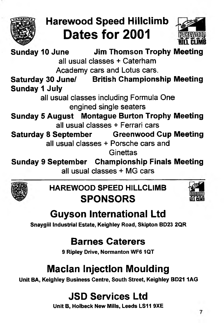

# **Harewood Speed Hillclimb Dates for 2001**



**Sunday 10 June Jim Thomson Trophy Meeting all usual classes + Caterham Academy cars and Lotus cars. Saturday 30 June/ British Championship Meeting Sunday 1 July all usual classes including Formula One engined single seaters Sunday 5 August Montague Burton Trophy Meeting all usual classes + Ferrari cars Saturday 8 September Greenwood Cup Meeting all usual classes + Porsche cars and Ginettas**

**Sunday 9 September Championship Finals Meeting all usual classes MG cars**



## **HAREWOOD SPEED HILLCLIMB SPONSORS**



# **Guyson International Ltd**

**Snaygiil Industrial Estate, Keighley Road, Skipton BD23 2QR** 

## **Barnes Caterers**

**9 Ripley Drive, Normanton WF6 1QT**

# **Macian Injection Moulding**

**Unit BA, Keighley Business Centre, South Street, Keighley BD211AG**

# **JSD Services Ltd**

**Unit B, Holbeck New Mills, Leeds LS11 9XE**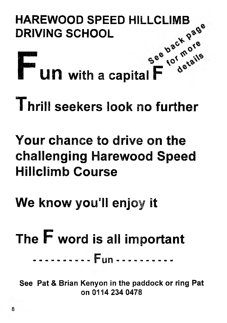# **HAREWOOD SPEED HILLCLIMB DRIVING SCHOOL**



# **Thrili seekers look no further**

# **Your chance to drive on the challenging Harewood Speed Hillclimb Course**

# **We know you'll enjoy it**

# **The F word is all important** <u>------- Fun -----------</u>

**See Pat & Brian Kenyon in the paddock or ring Pat on 0114 234 0478**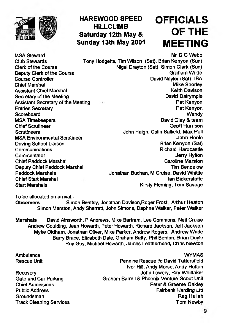

## **HAREWOOD SPEED OFFICIALS Saturday 12th May & Sunday 13th May 2001 MEETING**

# **OF THE**

**Deputy Clerk of the Course<br>Course Controller Chief Scrutineer**<br>Scrutineers **Driving School Liaison**<br>Communications **Deputy Chief Paddock Marshal<br>Paddock Marshals Chief Start Marshal Start Marshall** 

**MSA Steward Mr D G Webb** with the matter of the matter of the matter of the matter of the matter of the matter of the matter of the matter of the matter of the matter of the matter of the matter of the matter of the matte **Club Stewards Tony Hodgetts, Tim Wilson (Sat), Brian Kenyon (Sun) Clerk of the Course Cleric of the Course Nigel Drayton (Sat), Simon Clark (Sun)**<br>Deputy Clerk of the Course Course Creation of the Course Creation of the Course Creation of the Course Creation **Course Course Course Controller Controller Controller Controller Controller Controller Controller Controller Controller Controller Controller Controller Controller Controller Controller Controller Controller Controller Co Chief Marshal Mike Shoriey (1998)** Mike Shoriey<br>
Mike Shoriey<br>
Assistant Chief Marshal Marshal Mike Shoriey (1998) Mike Shoriey<br>
Mike Shoriey (1999) Mike Shoriey<br>
Mike Shoriey (1999) Mike Shoriey (1999) Mike Shoriey (1999 **Assistant Chief Marshal Community Community Community Community Community Community Community Community Community**<br> **Assistant Chief Meeting Community Community Community Community Community Community Community Community Secretary of the Meeting Construction Construction Construction Construction Construction Construction Construction Construction Construction Construction Construction Construction Construction Construction Construction C Assistant Secretary of the Meeting New York Construction of the Meeting Pat Kenyon<br>Pat Kenyon Pat Kenyon** Entries Secretary **Pat Kenyon**<br>
Scoreboard Wendy **Scoreboard Wendy** MSA Timekeepers **David Clay & team**<br>
Chief Scrutineer **David Clay & team**<br>
Chief Scrutineer **Scrutineers John Haigh, Colin Salkeld, Max Hall MSA Environmental Scrutineer Community Community Community Community Community Community Community Community Community Community Community Community Community Community Community Community Community Community Community Co Communications Communications (2008)**<br>
Commentator Communications (2009)<br>
Commentator (2009) **Caroline Marston Chief Paddock Marshal Caroline Marston**<br>
Deputy Chief Paddock Marshal Caroline Chief Paddock Marshal Caroline Chief Paddock Marshal **Paddock Marshals Jonathan Buchan, M Cruise. David Whittle Kirsty Fleming, Tom Savage** 

**To be allocated on anival:-**

**Observers Simon Bentley, Jonathan Davison,Roger Frost, Arthur Heaton Simon Marston, Andy Sherratt, John Simons, Daphne Walker, Peter Walker**

**Marshals David Ainsworth, P Andrews, Mike Bartram, Lee Commons, Neil Cruise Andrew Goulding, Jean Howarth, Peter Howarth, Richard Jackson, Jeff Jackson Myke Oldham, Jonathan Oliver, Mike Paricer, Andrew Rogers, Andrew Wride Barry Brace, Elizabeth Dale, Graham Batty. Phil Benton, Brian Doyle Roy Guy, Michael Howarth, James Leatherhead, Chris Newton**

**Groundsman** 

**Ambulance WYMAS Rescue Unit Pennine Rescue i/c David Tattersfield Ivor Hill, Andy Morse, Andy Hutton Recovery John Lowery, Ray Whittaker** Gate and Car Parking **Graham Burrell & Phoenix Venture Scout Unit**<br>Chief Admissions **Graham Burrell & Peter & Graeme Oaklev Peter & Graeme Oakley Public Address Fairbank Harding** *Ltd* **Track Cleaning Services** Track Tom Newby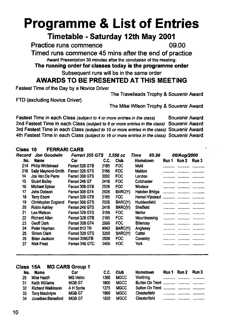# **Programme & List of Entries**

## **Timetable - Saturday 12th May 2001**

**Practice runs commence 09.00**

**Timed runs commence 45 mins after the end of practice** Award Presentation 30 minutes after the conclusion of the meeting.

**The running order for classes today is the programme order**

Subsequent runs will be in the same order

**AWARDS TO BE PRESENTED AT THIS MEETING**

**Fastest Time of the Day by a Novice Driver**

**The Travelleads Trophy & Souvenir Award**

**FTD (excluding Novice Driver)**

**The Mike Wilson Trophy & Souvenir Award**

**Fastest Time in each Class** *(subject to 4 or more entries in the class)* **Souvenir Award 2nd Fastest Time in each Class** *(subject to 6 or more entries in the class)* **Souvenir Award 3rd Fastest Time in each Class** *(subject to 10 or more entries in the class)* **Souvenir Award 4th Fastest Time in each Class** *(subject to 16 or more entries in the class)* **Souvenir Award**

#### **Class 10 FERRARI CARS**

| Record | Jon Goodwin                | Ferrari 355 GTS |      | 3.550 cc       | 65.96<br>Time        |       | 06/Aug/2000 |       |
|--------|----------------------------|-----------------|------|----------------|----------------------|-------|-------------|-------|
| No.    | <b>Name</b>                | Car             | C.C. | Club           | Hometown             | Run 1 | Run 2       | Run 3 |
| 214    | Philip Whitehead           | Ferrari 328 GTB | 3185 | <b>FOC</b>     | Mold                 |       |             |       |
| 215    | Sally Maynard-Smith        | Ferrari 328 GTS | 3185 | <b>FOC</b>     | Maldon               |       |             |       |
| 14     | Jos Van De Perre           | Ferrari 308 GTS | 3000 | <b>FOC</b>     | Londan               |       |             |       |
| 15     | <b>Stuart Bailey</b>       | Ferrari 246 GT  | 2418 | <b>FOC</b>     | Colchester           |       |             |       |
| 16     | <b>Michael Spicer</b>      | Ferrari 308 GTB | 2926 | <b>FOC</b>     | Windsor              |       |             |       |
| 17     | John Dobson                | Ferrari 308 GT4 | 2926 | BARC(Y)        | <b>Hebden Bridge</b> |       |             |       |
| 18     | <b>Terry Esom</b>          | Ferrari 328 GTB | 3185 | <b>FOC</b>     | Hemel H'pstead       |       |             |       |
| 19     | <b>Christopher England</b> | Ferrari 308 GTS | 2926 | BARC(Y)        | Huddersfield         |       |             |       |
| 20     | <b>Robin Ashley</b>        | Ferrari 246 GTS | 2416 | BARC(Y)        | Sheffield            |       |             |       |
| 21     | Len Watson                 | Ferrari 328 GTS | 3185 | <b>FOC</b>     | Mellor               |       |             |       |
| 22     | <b>Richard Allen</b>       | Ferrari 328 GTB | 3185 | <b>FOC</b>     | Mountnessing         |       |             |       |
| 23     | Geoff Dark                 | Ferrari 308 GT4 | 2990 | <b>FOC</b>     | Billericay           |       |             |       |
| 24     | Peter Hayman               | Ferrari 512 TR  | 4943 | <b>BARC(Y)</b> | Anglesey             |       |             |       |
| 25     | Simon Clark                | Ferrari 328 GTS | 3200 | BARC(Y)        | Cattal               |       |             |       |
| 26     | <b>Brian Jackson</b>       | Ferrari 308GTB  | 2926 | <b>FOC</b>     | Coventry             |       |             |       |
| 27     | <b>Nick Frost</b>          | Ferrari 348 GTC | 3405 | <b>FOC</b>     | <b>York</b>          |       |             |       |

#### **Class ISA MG CARS Group 1**

| No. | <b>Name</b>           | Car             | C.C. | <b>Club</b> | <b>Hometown</b> | Run 1 Run 2 Run 3 |  |
|-----|-----------------------|-----------------|------|-------------|-----------------|-------------------|--|
| 29  | Mike Heath            | <b>MG Metro</b> | 1300 | <b>MGCC</b> |                 |                   |  |
|     | 31 Keith Williams     | <b>MGB GT</b>   | 1860 | <b>MGCC</b> |                 |                   |  |
|     | 32 Richard Watkinson  | A H Sprite      | 1275 | <b>MGCC</b> |                 |                   |  |
|     | 33 Tony MacIntyre     | <b>MGB GT</b>   | 1860 | <b>MGCC</b> | Chesterfield    |                   |  |
|     | 34 Jonathan Beresford | <b>MGB GT</b>   | 1820 | <b>MGCC</b> | Chesterfield    |                   |  |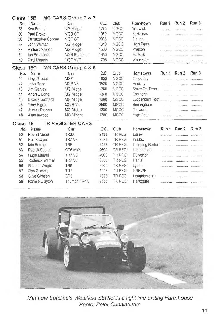| Class     | 15B                       | MG CARS Group 2 & 3            |      |             |                 |                     |                         |                     |
|-----------|---------------------------|--------------------------------|------|-------------|-----------------|---------------------|-------------------------|---------------------|
| No.       | Name                      | Car                            | C.C. | Club        | Hometown        | Run 1               | Run 2                   | Run 3               |
| 28        | Ken Bound                 | MG Midget                      | 1275 | <b>MGCC</b> | Warwick         | .                   | .                       |                     |
| 30        | Paul Drake                | MGB GT                         | 1950 | <b>MGCC</b> | St Helens       | Silvano dal         | CONTRACTORS CONTRACTORS |                     |
| 36        | <b>Christopher Cooper</b> | MGC GT                         | 2968 | <b>MGCC</b> | Slough          | المتحدث والمتحدث    |                         |                     |
| 37        | John Wilman               | MG Midget                      | 1340 | <b>MGCC</b> | High Peak       | .                   |                         |                     |
| 38        | Richard Saxton            | MG Midget                      | 1500 | MGCC        | Preston         | .                   |                         |                     |
| 39        | lan Beresford             | MGB Roadster                   | 1950 | <b>MGCC</b> | Matlock         |                     |                         |                     |
| 40        | Paul Meakin               | MGF VVC                        | 1796 | <b>MGCC</b> | Worcester       |                     |                         |                     |
| Class 15C |                           | MG CARS Group 4 & 5            |      |             |                 |                     |                         |                     |
| No.       | Name                      | Car                            | C.C. | Club        | Hometown        | Run 1               | Run 2                   | Run 3               |
| 41        | Lloyd Tredell             | MGF                            | 1800 | MGCC        | Timperley       | .                   |                         |                     |
| 42        | John Rose                 | MGB V8                         | 3528 | MGCC        | Hockley         | .                   |                         |                     |
| 43        | Jim Garvey                | MG Midget                      | 1380 | <b>MGCC</b> | Stoke On Trent  | .                   | .                       | .                   |
| 44        | Andrew Long               | MG Midget                      | 1340 | MGCC        | Carnforth       | .                   |                         | <b>************</b> |
| 45        | David Coulthard           | MG Midget                      | 1380 | MGCC        | Luddenden Foot  |                     |                         |                     |
| 46        | <b>Terry Pigott</b>       | MG <sub>B</sub> V <sub>8</sub> | 3900 | MGCC        | Birmingham      |                     |                         |                     |
| 47        | James Thacker             | MG Midget                      | 1380 | <b>MGCC</b> | Tanworth        | <b>Construction</b> |                         |                     |
| 48        | Allan Inwood              | MG Midget                      | 1380 | <b>MGCC</b> | High Peak       | a construction      | . <i>.</i>              |                     |
| Class     | 16                        | TR REGISTER CARS               |      |             |                 |                     |                         |                     |
| No.       | Name                      | Car                            | C.C. | Club        | Hometown        | Run 1               | Run 2                   | Run 3               |
| 50        | Robert Mead               | TR <sub>3</sub> A              | 2138 | TR REG      | Essex           | .                   | . <b>.</b> .            |                     |
| 51        | Neil Sawyer               | <b>TR7 V8</b>                  | 3528 | TR REG      | Wistow          | .                   | .                       |                     |
| 52        | lain Burrup               | TR <sub>6</sub>                | 2498 | TR REG      | Chipping Norton |                     |                         |                     |
| 53        | Patrick Squire            | GT6 Mk3                        | 2600 | TR REG      | Umberleigh      | .                   | .                       | .                   |
| 54        | Hugh Maund                | TR7 V8                         | 4600 | TR REG      | Duiverton       |                     |                         |                     |
| 55        | Rodenck Wamer             | <b>TR7 V8</b>                  | 3500 | TR REG      | Hants           |                     |                         |                     |
| 56        | <b>Richard Wright</b>     | TR <sub>6</sub>                | 2500 | TR REG      | Lymm            | .                   |                         | .                   |
| 57        | <b>Rob Gilmore</b>        | TR7                            | 1998 | TR REG      | <b>CREWE</b>    |                     |                         |                     |
| 58        | Clive Gimson              | GT <sub>6</sub>                | 1998 | TR REG      | Loughborough    |                     |                         |                     |
| 59        | Ronnie Clayton            | Triumph TR4A                   | 2133 | TR REG      | Harrogate       |                     |                         |                     |



*Matthew Sutcliffe's Westfield SEi holds a tight line exiting Farmhouse Photo: Peter Cunningham*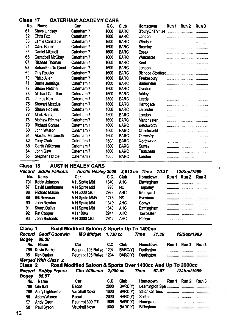#### **Class 17 CATERHAM ACADEMY CARS**

| No. | <b>Name</b>           | Car        | C.C. | Club        | Hometown          | Run 1        | Run 2    | Run 3        |
|-----|-----------------------|------------|------|-------------|-------------------|--------------|----------|--------------|
| 61  | <b>Steve Lindsey</b>  | Caterham 7 | 1600 | <b>BARC</b> | S'buryOnTh'mes    |              | .        |              |
| 62  | Chris Fox             | Caterham 7 | 1600 | <b>BARC</b> | London            |              |          |              |
| 63  | Jamie Constable       | Caterham 7 | 1600 | <b>BARC</b> | Windsor           |              |          |              |
| 64  | Carlo Bonetti         | Caterham 7 | 1600 | <b>BARC</b> | Bromley           |              |          |              |
| 65  | Daniel Mitchell       | Caterham 7 | 1600 | <b>BARC</b> | <b>Essex</b>      |              | .        |              |
| 66  | Campbell McClory      | Caterham 7 | 1600 | <b>BARC</b> | Worcester         |              | .        |              |
| 67  | <b>Richard Thomas</b> | Caterham 7 | 1600 | <b>BARC</b> | Kent              |              | <b> </b> |              |
| 68  | Sebastian De Groot    | Caterham 7 | 1600 | <b>BARC</b> | London            |              |          | .            |
| 69  | <b>Guy Rossler</b>    | Caterham 7 | 1600 | <b>BARC</b> |                   |              |          |              |
| 70  | <b>Philip Allen</b>   | Caterham 7 | 1600 | <b>BARC</b> | Tewkesbury        |              |          |              |
| 71  | Barrie Jennings       | Caterham 7 | 1600 | <b>BARC</b> | <b>Badminton</b>  | .            |          |              |
| 72  | <b>Simon Fletcher</b> | Caterham 7 | 1600 | <b>BARC</b> | Overton           |              | .        | ------------ |
| 73  | Michael Cantillon     | Caterham 7 | 1600 | <b>BARC</b> | Arkley            |              |          |              |
| 74  | James Kerr            | Caterham 7 | 1600 | <b>BARC</b> | Leeds             | .            |          |              |
| 75  | <b>Stewart Meadus</b> | Caterham 7 | 1600 | <b>BARC</b> | Harrogate         |              |          |              |
| 76  | Simon Hopkins         | Caterham 7 | 1600 | <b>BARC</b> | Leicester         | .            |          |              |
| 77  | Mark Harris           | Caterham 7 | 1600 | <b>BARC</b> | London            |              |          |              |
| 78  | <b>Mathew Rimmer</b>  | Caterham 7 | 1600 | <b>BARC</b> | Manchester        |              |          |              |
| 79  | <b>Richard Gomes</b>  | Caterham 7 | 1600 | <b>BARC</b> | <b>Betchworth</b> | ------------ | .        |              |
| 80  | John Watson           | Caterham 7 | 1600 | <b>BARC</b> | Chesterfield      |              |          |              |
| 81  | Alastair Mackereth    | Caterham 7 | 1600 | <b>BARC</b> | Oswestry          |              |          | .            |
| 82  | Terry Clark           | Caterham 7 | 1600 | <b>BARC</b> | Northwood         |              |          |              |
| 83  | Garth Wilkinson       | Caterham 7 | 1600 | <b>BARC</b> | Surrey            |              | .        |              |
| 84  | John Gaw              | Caterham 7 | 1600 | <b>BARC</b> | Thatcham          |              |          |              |
| 85  | Stephen Hindle        | Caternam 7 | 1600 | <b>BARC</b> | London            |              |          |              |
|     |                       |            |      |             |                   |              |          |              |

#### **Class 18 AUSTIN HEALEY CARS**

| Record | Eddie Falkous        | <b>Austin Healey 3000</b> |      | 2.912 cc   | Time 70.37       |       | 12/Sep/1999 |       |
|--------|----------------------|---------------------------|------|------------|------------------|-------|-------------|-------|
| No.    | <b>Name</b>          | Car                       | C.C. | Club       | Hometown         | Run 1 | Run 2       | Run 3 |
| 791    | Robin Johnson        | A H Sprite Mkl            | 1340 | <b>AHC</b> | Birmingham       |       |             |       |
| 87     | David Lambourne      | A H Sprite MkI            | 998  | HDI        | Tarporley        |       |             |       |
| 88     | <b>Richard Mason</b> | A H 3000 MkII             | 2968 | <b>AHC</b> | Bromyard         |       |             |       |
| 89     | <b>Bill Newman</b>   | A H Sprite MkIV           | 1275 | HDI        | Evesham          |       |             |       |
| 90     | John Newton          | A H Sprite MkI            | 1340 | <b>AHC</b> | Conwy            |       |             |       |
| 91     | <b>Stuart Bullas</b> | A H Sprite MkI            | 1340 | <b>AHC</b> | Birmingham       |       |             |       |
| 92     | Pat Cooper           | AH 100/6                  | 2914 | <b>AHC</b> | <b>Towcester</b> |       |             |       |
| 93     | John Richards        | A H 3000 MKI              | 2912 | <b>AHC</b> | Halkyn           |       |             |       |
|        |                      |                           |      |            |                  |       |             |       |

**Class 1 Road Modified Saloon & Sports Up To 1400cc** *Record Geoff Goodwin MG Midget 1,330 cc Time 71.30 12/Sep/1999 Bogey 89.30* No. Name Car C.C. Club Hometown Run 1 Run 2 Run 3 Peugeot 106 Rallye 1294 BARC(Y) Dartington 95 Ken Barker Peugeot 106 Rallye 1294 BARC(Y) Dartington *Merged \Wth Class 2* **Class 2 Road Modified Saloon & Sports Over 1400cc And I** *Record Bobby Fryers Clio Williams 2,000 cc Time 67.57 13/Jun/1999 Bogey 85.57* No. Name Car Car C.C. Club Hometown<br>796 Iain-Bali Escort 2000 BARC(Y) Leamington Run 1 Run 2 Run 3 796 lain Bali Escort 2000 BARC(Y) Leamington Spa 798 Andy Lightowler 96 Adam Warren Escort 2000 BARC(Y) Settle ............ ............ ............ 97 Andy Geen Peugeot 309 GTi 1905 BARC(Y) Harrogate 98 Paul Syson Vauxhall Nova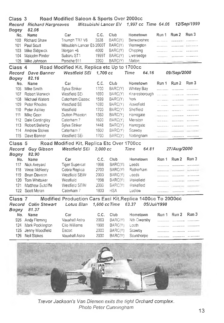| Class 3<br>Record<br>Bogey | <b>Richard Hargreaves</b><br>82.06 | Road Modified Saloon & Sports Over 2000cc<br>Mitsubishi Lancer EV |                    |            | 1,997 cc Time 64.06  |                  |             | 12/Sep/1999        |
|----------------------------|------------------------------------|-------------------------------------------------------------------|--------------------|------------|----------------------|------------------|-------------|--------------------|
| No.                        | Name                               | Car                                                               | C.C.               | Club       | Hometown             | Run 1            | Run 2       | Run 3              |
|                            | 100 Richard Shaw                   | Triumph TR7 V8                                                    | 3528               | BARC(Y)    | Berwickshire         | .                |             |                    |
| 101                        | Paul Scutt                         | Mitsubishi Lancer E5 2000T                                        |                    | BARC(Y)    | Warrington           | .                |             |                    |
| 103                        | Mike Sidgwick                      | Morgan +8                                                         | 4000               | BARC(Y)    | Chipping             | .                | .           |                    |
| 104                        | Malcolm Pinder                     | Subaru ST1                                                        | 1999T              | BARC(Y)    | Liversedge           | .                |             | .                  |
| 105                        | Mike Johnson                       | Porsche 911                                                       | 3200               | BARC(Y)    | Malton               | .                |             | <b>Temperature</b> |
| Class 4                    |                                    | Road Modified Kit, Replica etc Up to 1700cc                       |                    |            |                      |                  |             |                    |
|                            | Record Dave Banner                 | Westfield SEi                                                     | 1.700 cc           |            | Time<br>64.16        |                  | 09/Sep/2000 |                    |
| <b>Bogey</b>               | 82.16                              |                                                                   |                    |            |                      |                  |             |                    |
| No.                        | Name                               | Car                                                               | C.C.               | Club       | Hometown             | Run 1            | Run 2       | Run 3              |
| 106                        | Mike Smith                         | Sylva Stnker                                                      | 1700               | BARC(Y)    | <b>Whitley Bay</b>   | .                | .           | .                  |
| 107                        | Robert Warwick                     | Westfield SFi                                                     | 1690               | BARC(Y)    | Knaresborough        | .                | .           | .                  |
| 108                        | Michael Waters                     | Caterham Classic                                                  | 1599               | BARC(Y)    | York                 | .                | .           | .                  |
| 109                        | Peter Rhodes                       | Westfield SE                                                      | 1690               | BARC(Y)    | Wakefield            | .                | .           |                    |
| 110                        | Peter Ashley                       | Westfield                                                         | 1700               | BARC(Y)    | Sheffield            |                  |             | . <i>. .</i>       |
| 111                        | Mike Geen                          | Dutton Phaeton                                                    | 1360               | BARC(Y)    | Harrogate            | .                | .           | .                  |
| 112                        | Dale Cordingley                    | Caterham 7                                                        | 1600               | BARC(Y)    | Menston              |                  | .           | .                  |
| 113                        | Robert Bellerby                    | Sylva Striker                                                     | 1448               | BARC(Y)    | Harrogate            | .                | .           | .                  |
| 114                        | <b>Andrew Stokes</b>               | Caterham 7                                                        | 1600               | BARC(Y)    | Scawby               | <b>HELENHALL</b> |             |                    |
| 115                        | Dave Banner                        | Westfield SEi                                                     | 1700               | BARC(Y)    | Nottingham           |                  |             |                    |
|                            |                                    |                                                                   |                    |            |                      |                  |             |                    |
| Class 5                    |                                    | Road Modified Kit, Replica Etc Over 1700cc<br>Westfield SEi       | $2.000 \text{ cc}$ |            | Time<br>64.81        |                  |             |                    |
| Record                     | <b>Guy Gibson</b>                  |                                                                   |                    |            |                      |                  | 27/Aug/2000 |                    |
| Bogey                      | 82.90                              |                                                                   |                    |            |                      |                  |             | Run 3              |
| No.                        | Name                               | Car                                                               | C.C.               | Club       | Hometown             | Run 1            | Run 2       |                    |
| 117                        | Nick Aveyard                       | <b>Tiger Supercat</b>                                             | 1998               | BARC(Y)    | Leeds                | .                | .           | .                  |
| 118                        | Vince McNeely                      | Cobra Replica                                                     | 2700               | BARC(Y)    | Rotherham            |                  |             |                    |
| 119                        | <b>Bnan Davison</b>                | Westfield SEIW                                                    | 2000               | BARC(Y)    | Leeds                | .                | .           |                    |
| 120                        | Tom Whittaker                      | Westfield                                                         | 1998               | BARC(Y)    | Wakefield            |                  |             |                    |
| 121                        | Matthew Sutcliffe                  | Westfield SEIW                                                    | 2000               | BARC(Y)    | Wakefield            | .                |             |                    |
|                            | 122 Scott Moran                    | Caterham 7                                                        | 1800               | <b>HSA</b> | Ludiow               | .                |             |                    |
| Class <sub>7</sub>         |                                    | Modified Production Cars Excl Kit, Replica 1400cc To 2000cc       |                    |            |                      |                  |             |                    |
| Record                     | Colin Stewart                      | Lotus Elan                                                        | 1,600 cc Time      |            | 63.37<br>05/Jul/1998 |                  |             |                    |
| Bogey                      | 81.37                              |                                                                   |                    |            |                      |                  |             |                    |
| No.                        | Name                               | Car                                                               | C.C.               | Club       | Hometown             | Run 1            | Run 2       | Run 3              |
| 926                        | Andy Fleming                       | Vauxhall Astra                                                    | 2000               | BARC(Y)    | Nth Owersby          | .                | .           |                    |
| 124                        | Mark Pocklington                   | Clio Williams                                                     | 1998               | BARC(Y)    | Louth                | .                | .           |                    |
| 125                        | Jenny Woodfield                    | Escort                                                            | 2000               | BARC(Y)    | Scawby               | .                | .           |                    |
| 126                        | Neil Stokes                        | Vauxhall Astra                                                    | 2000               | BARC(Y)    | Scunthorpe           | .                | .           | .                  |
|                            |                                    |                                                                   |                    |            |                      |                  |             |                    |
|                            |                                    |                                                                   |                    |            |                      |                  |             |                    |



*Trevor Jackson's Van Diemen exits the tight Orchard complex. Photo Peter Cunningham*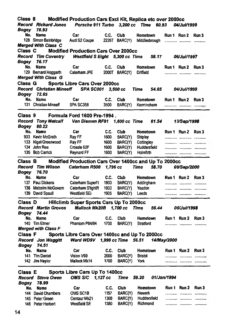| Class 8      |                                                        | Modified Production Cars Excl Kit, Replica etc over 2000cc |           |                 |                          |             |                           |       |
|--------------|--------------------------------------------------------|------------------------------------------------------------|-----------|-----------------|--------------------------|-------------|---------------------------|-------|
|              | Record Richard Jones Porsche 911 Turbo 3,200 cc Time   |                                                            |           |                 | 60.93                    |             | <i><b>04/Jul/1999</b></i> |       |
| Bogey        | 78.93                                                  |                                                            |           |                 |                          |             |                           |       |
| No.          | <b>Name</b>                                            | Car                                                        | C.C.      | <b>Club</b>     | Hometown                 |             | Run 1 Run 2 Run 3         |       |
|              | 128 Simon Bainbridge                                   |                                                            |           |                 |                          |             |                           |       |
|              | <b>Merged With Class C</b>                             |                                                            |           |                 |                          |             |                           |       |
| Class C      |                                                        | Modified Production Cars Over 2000cc                       |           |                 |                          |             |                           |       |
|              | Record Tim Coventry                                    | Westfield S Eight 5,300 cc Time 58.17 06/Jul/1997          |           |                 |                          |             |                           |       |
| Bogey        | 76.17                                                  |                                                            |           |                 |                          |             |                           |       |
| No.          | <b>Name</b>                                            | Car                                                        | C.C. Club |                 | Hometown                 |             | Run 1 Run 2 Run 3         |       |
|              | 129 Bernard Hoggarth                                   | Caterham JPE 2000T BARC(Y) Driffield                       |           |                 |                          |             |                           |       |
|              | <b>Merged With Class G</b>                             |                                                            |           |                 |                          |             |                           |       |
| Class G      |                                                        | <b>Sports Libre Cars Over 2000cc</b>                       |           |                 |                          |             |                           |       |
|              |                                                        |                                                            |           |                 |                          |             |                           |       |
|              | Record Christian Mineeff SPA SC001                     |                                                            |           | 3.500 cc        | Time<br>54.65            |             | 04/Jul/1999               |       |
| Bogey        | 72.65                                                  |                                                            |           |                 |                          |             |                           |       |
| No.          | Name                                                   | Car                                                        | C.C.      | Club.           | Hometown                 |             | Run 1 Run 2 Run 3         |       |
|              | 131 Christian Mineeff SPA SC358                        |                                                            | 3500      |                 | BARC(Y) Kermincham       |             |                           |       |
|              |                                                        |                                                            |           |                 |                          |             |                           |       |
|              | Class 9                                                | Formula Ford 1600 Pre-1994.                                |           |                 |                          |             |                           |       |
|              | Record Tony Metcalf Van Diemen RF91 1,600 cc Time      |                                                            |           |                 | 61.54                    |             | 13/Sep/1998               |       |
| Bogey        | 80.22                                                  |                                                            |           |                 |                          |             |                           |       |
| No.          | <b>Name</b>                                            | Car                                                        | C.C.      | Club            | <b>Hometown</b>          |             | Run 1 Run 2 Run 3         |       |
|              | 933 Kevin McGrath Ray FF<br>133 Nigel Greenwood Ray FF | Ray FF                                                     | 1600      | BARC(Y) Shipley |                          |             |                           |       |
|              |                                                        |                                                            | 1600      |                 | BARC(Y) Cottingley       |             | $\cdots$                  |       |
|              | 134 John Rea                                           | Crossle 62F                                                | 1600      |                 | BARC(Y) Huddersfield     |             |                           |       |
|              | 135 Bob Carrick                                        | Reynard FF                                                 | 1600      | BARC(Y)         | Holmfirth                |             |                           |       |
|              |                                                        |                                                            |           |                 |                          |             |                           |       |
|              |                                                        |                                                            |           |                 |                          |             |                           |       |
| Class B      |                                                        | Modified Production Cars Over 1400cc and Up To 2000cc      |           |                 |                          |             |                           |       |
|              |                                                        | Caterham R500 1,796 cc                                     |           |                 | 58.70<br>Time            |             | 09/Sep/2000               |       |
| Bogey        | 76.70                                                  |                                                            |           |                 |                          |             |                           |       |
| No.          | Name                                                   | Car                                                        | C.C.      | <b>Club</b>     | Hometown                 |             | Run 1 Run 2 Run 3         |       |
|              | 137 Paul Dickens                                       | Caterham Superl't                                          | 1800      |                 | BARC(Y) Addingham        |             |                           |       |
|              | 138 Malcolm McGovern Caterham S'lightR                 |                                                            | 1800      | <b>BARC(Y)</b>  | Yeadon                   |             |                           |       |
|              | 139 David Spaull                                       | Westfield SEi                                              | 1905      | BARC(Y)         | Leeds                    |             |                           |       |
|              |                                                        |                                                            |           |                 |                          |             |                           |       |
| Class D      |                                                        | Hillclimb Super Sports Cars Up To 2000cc                   |           |                 |                          |             |                           |       |
|              | Record Martin Groves                                   | Mallock Mk20B  1,700 cc  Time                              |           |                 |                          |             | 56.44 05/Jul/1998         |       |
| Bogey        | 74.44                                                  |                                                            |           |                 |                          |             |                           |       |
| No.          | Name                                                   | Car                                                        | C.C.      | <b>Club</b>     | Hometown                 |             | Run 1 Run 2               | Run 3 |
|              | 140 Tim Elmer                                          | Phantom P84/94                                             | 1700      | BARC(Y)         | Stratford                |             |                           |       |
|              | <b>Merged with Class F</b>                             |                                                            |           |                 |                          |             |                           |       |
| Class F      |                                                        | Sports Libre Cars Over 1400cc and Up To 2000cc             |           |                 |                          |             |                           |       |
|              | Record Jon Waggitt                                     | Ward WD9V 1,998 cc Time 56.51 14/May/2000                  |           |                 |                          |             |                           |       |
| Bogey        | 74.51                                                  |                                                            |           |                 |                          |             |                           |       |
| No.          | Name                                                   | <b>Car</b>                                                 | C.C.      | <b>Club</b>     | Hometown                 |             | Run 1 Run 2               | Run 3 |
|              | 141 Tim Daniel                                         | Vision V90                                                 | 2000      | BARC(Y)         | <b>Bristol</b>           |             |                           |       |
|              | 142 Jim Naylor                                         | Mallock Mk14                                               | 1700      | BARC(Y)         | York                     |             |                           |       |
|              |                                                        |                                                            |           |                 |                          |             |                           |       |
| Class E      |                                                        | Sports Libre Cars Up To 1400cc                             |           |                 |                          |             |                           |       |
|              | <b>Record Steve Owen</b>                               | OMS S/C 1,127 cc                                           |           | <b>Time</b>     | 59.20                    | 01/Jan/1994 |                           |       |
| <b>Bogey</b> | 78.99                                                  |                                                            |           |                 |                          |             |                           |       |
| No.          | <b>Name</b>                                            | Car                                                        | C.C.      | Club            | <b>Hometown</b>          |             | Run 1 Run 2               | Run 3 |
|              | 144 David Chambers                                     | OMS SC1B                                                   | 1157      | BARC(Y)         | Newark                   |             |                           |       |
|              | 145 Peter Green                                        | Centaur Mk21                                               | 1300      | BARC(Y)         | Huddersfield<br>Richmond |             |                           |       |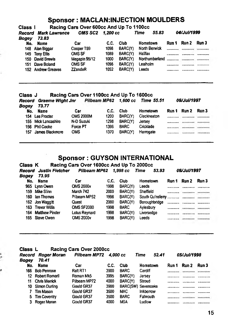#### **Sponsor : MACLAN:INJECTION MOULDERS**

**Class I Racing Cars Over 600cc And Up To 1100cc**

| Record<br>Bogey | <b>Mark Lawrence</b><br>73.83 | OMS SC2 1.200 cc |      |         | 55.83<br>Time  |       | 04/Jul/1999 |       |
|-----------------|-------------------------------|------------------|------|---------|----------------|-------|-------------|-------|
| No.             | <b>Name</b>                   | Car              | C.C. | Club    | Hometown       | Run 1 | Run 2       | Run 3 |
|                 | 148 Alan Biggar               | Cooper T59       | 1098 | BARC(Y) | North Berwick  |       |             |       |
|                 | 149 Tony Ellis                | <b>OMS SF</b>    | 1089 | BARC(Y) | Halifax        |       |             |       |
|                 | 150 David Brewis              | Megapin 95/12    | 1000 | BARC(Y) | Northumberland |       |             |       |
| 151             | Dave Boland                   | <b>OMS SF</b>    | 1098 | BARC(Y) | Lealholm       |       |             |       |
|                 | 152 Andrew Greaves            | <b>ZZandeR</b>   | 1052 | BARC(Y) | Leeds          |       |             |       |

## **Class J Racing Cars Over HOOcc And Up To 1600cc**

| Record<br>Bogey | Graeme Wight Jnr<br>73.77 |                  |      | Pilbeam MP62 1.600 cc | Time 55.51  |       | <i><b>06/Jul/1997</b></i> |       |
|-----------------|---------------------------|------------------|------|-----------------------|-------------|-------|---------------------------|-------|
| No.             | <b>Name</b>               | Car              | C.C. | Club                  | Hometown    | Run 1 | Run 2                     | Run 3 |
|                 | 154 Les Procter           | <b>OMS 2000M</b> | 1200 | BARC(Y)               | Cleckheaton |       |                           |       |
|                 | 155 Mick Lancashire       | N-D Suzuki       | 1298 | BARC(Y)               | Jersey      |       |                           |       |
|                 | 156 Phil Cooke            | Force PT         | 1396 | <b>BARC</b>           | Cricklade   |       |                           |       |
| 157             | James Blackmore           | oms              | 1370 | BARC(Y)               | Harrogate   |       |                           |       |

#### **Sponsor: GUYSON INTERNATIONAL**

 $\sim$ 

#### **Class K Racing Cars Over 1600cc And Up To 2000cc**

| Record<br>Boaev | Justin Fletcher<br>73.95 | Pilbeam MP62         |      | 1.998 сс    | Time<br>53.93 |       | <i><b>06/Jul/1997</b></i> |       |
|-----------------|--------------------------|----------------------|------|-------------|---------------|-------|---------------------------|-------|
| No.             | Name                     | Car                  | C.C. | Club        | Hometown      | Run 1 | Run 2                     | Run 3 |
|                 | 965 Lynn Owen            | <b>OMS 2000v</b>     | 1998 | BARC(Y)     | Leeds         |       |                           |       |
|                 | 159 Mike Slinn           | March 742            | 2000 | BARC(Y)     | Sheffield     |       |                           |       |
| 160.            | lan Thomas               | Pilbeam MP52         | 1998 | BARC(Y)     |               |       |                           |       |
|                 | 162 Jon Waggitt          | Ouest                | 2000 | BARC(Y)     | Boroughbridge |       |                           |       |
| 163.            | <b>Trevor Willis</b>     | <b>OMS SF2000</b>    | 1998 | <b>BARC</b> | Aviesbury     |       |                           |       |
|                 | 164 Matthew Pinder       | <b>Lotus Reynard</b> | 1998 | BARC(Y)     | Liversedge    |       |                           |       |
|                 | 165 Steve Owen           | <b>OMS 2000v</b>     | 1998 | BARC(Y)     | Leeds         |       |                           |       |
|                 |                          |                      |      |             |               |       |                           |       |

#### **Class L Racing Cars Over 2000cc**

| Record<br><b>Bogey</b> | <b>Roger Moran</b><br>70.41 | Pilbeam MP72      | 4.000 cc |                           | Time      | 52.41 |       | 05/Jul/1998 |                     |
|------------------------|-----------------------------|-------------------|----------|---------------------------|-----------|-------|-------|-------------|---------------------|
| No.                    | <b>Name</b>                 | Car               | C.C.     | Club                      | Hometown  |       | Run 1 | Run 2       | Run 3               |
| 166                    | <b>Bob Penrose</b>          | Ralt RT1          | 3900     | <b>BARC</b>               | Cardiff   |       |       |             | ************        |
|                        | 12 Robert Romeril           | Roman Mk5         | 3995     | BARC(Y)                   | Jersey    |       |       |             |                     |
| 11                     | <b>Chris Merrick</b>        | Pilbeam MP72      | 4000     | BARC(Y)                   | Stroud    |       |       |             | <b>************</b> |
| 10                     | Simon Durlina               | <b>Gould GR37</b> | 3900     | <b>BARC(SW)</b> Sevenoaks |           |       |       |             |                     |
|                        | Tim Mason                   | Gould GR37        | 3500     | <b>MAC</b>                | inkberrow |       |       |             |                     |
| 5.                     | <b>Tim Coventry</b>         | Gould GR37        | 3500     | <b>BARC</b>               | Falmouth  |       |       |             | <b>CONTRACTOR</b>   |
| 3                      | Roger Moran                 | Gould GR37        | 4000     | <b>MSA</b>                | Ludlow    |       |       |             |                     |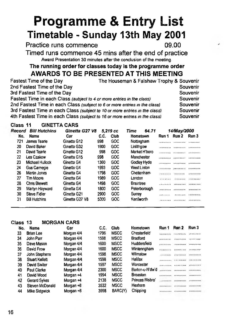# **Programme & Entry List Timetable - Sunday 13th May 2001**

**Practice runs commence 09.00** 

**Timed runs commence 45 mins after the end of practice** Award Presentation 30 minutes after the conclusion of the meeting

#### **The running order for classes today is the programme order AWARDS TO BE PRESENTED AT THIS MEETING**

| Fastest Time of the Day                                                     | The Houseman & Falshaw Trophy & Souvenir |          |
|-----------------------------------------------------------------------------|------------------------------------------|----------|
| 2nd Fastest Time of the Day                                                 |                                          | Souvenir |
| 3rd Fastest Time of the Day                                                 |                                          | Souvenir |
| Fastest Time in each Class (subject to 4 or more entries in the class)      |                                          | Souvenir |
| 2nd Fastest Time in each Class (subject to 6 or more entries in the class)  |                                          | Souvenir |
| 3rd Fastest Time in each Class (subject to 10 or more entries in the class) |                                          | Souvenir |
| 4th Fastest Time in each Class (subject to 16 or more entries in the class) |                                          | Souvenir |

#### **Class 11 GINETTACARS**

| Record | <b>Bill Hutchins</b> | Ginetta G27 V8 |      | 5.219 cc | 64.71<br>Time    |            | 14/May/2000 |                     |
|--------|----------------------|----------------|------|----------|------------------|------------|-------------|---------------------|
| No.    | Name                 | Car            | C.C. | Club     | Hometown         | Run 1      | Run 2       | Run 3               |
| 721    | James Tearle         | Ginetta G12    | 998  | GOC      | Nottingham       |            |             |                     |
| 20     | David Baker          | Ginetta G32    | 1900 | GOC      | Linlithgow       |            | <b></b>     |                     |
| 21     | David Tearle         | Ginetta G12    | 998  | GOC      | Market H'boro    |            |             |                     |
| 22     | Les Czakow           | Ginetta G15    | 998  | GOC      | Manchester       |            |             |                     |
| 23     | Michael Hullock      | Ginetta G4     | 1360 | GOC      | Godley Hyde      |            | <b></b>     | ------------        |
| 24     | <b>Gus Carnegie</b>  | Ginetta G4     | 1993 | GOC      | West Linton      |            |             |                     |
| 26     | Martin Jones         | Ginetta G4     | 1798 | GOC      | Cheitenham       |            |             |                     |
| 27     | <b>Tim Moore</b>     | Ginetta G4     | 1989 | GOC      | London           |            |             |                     |
| 28     | <b>Chris Blewett</b> | Ginetta G4     | 1498 | GOC      | <b>Braintree</b> |            |             |                     |
| 29     | Martyn Hayward       | Ginetta G4     | 1800 | GOC      | Peterborough     | . <b>.</b> |             | <b>************</b> |
| 30     | <b>Steve Fidler</b>  | Ginetta G21    | 2900 | GOC      | Surrey           |            |             |                     |
| 31     | <b>Bill Hutchins</b> | Ginetta G27 V8 | 5300 | GOC      | Kenilworth       |            |             |                     |

#### **Class 13 MORGAN CARS**

| No. | Name            | Саг        | C.C. | Club        | Hometown        | Run 1        | Run 2 | Run 3        |
|-----|-----------------|------------|------|-------------|-----------------|--------------|-------|--------------|
| 33  | Brian Lee       | Morgan 4/4 | 1796 | <b>MSCC</b> | Chesterfield    |              |       |              |
| 34  | John Parr       | Morgan 4/4 | 1598 | <b>MSCC</b> | <b>Bradford</b> |              |       |              |
| 35  | Dave Mason      | Morgan 4/4 | 1600 | <b>MSCC</b> | Huddersfield    |              |       |              |
| 36  | David Frow      | Morgan 4/4 | 1600 | <b>MSCC</b> | Wintenngham     |              |       |              |
| 37  | John Stephens   | Morgan 4/4 | 1598 | <b>MSCC</b> | Wilmstow        |              |       | ------------ |
| 38  | Stuart Kellett  | Morgan 4/4 | 1598 | <b>MSCC</b> | Halifax         |              |       |              |
| 39  | David Siviter   | Morgan 4/4 | 1597 | <b>MSCC</b> | Worcester       |              |       |              |
| 40  | Paul Clarke     | Morgan 4/4 | 2300 | <b>MSCC</b> | Barton-u-N'dw'd |              |       |              |
| 41  | David Wood      | Morgan +4  | 1994 | <b>MSCC</b> | <b>Breaston</b> |              |       |              |
| 42  | Gerard Sykes    | Morgan +4  | 2138 | <b>MSCC</b> | Princes Risbro  |              |       |              |
| 43  | Steven McDonald | Morgan +8  | 3532 | <b>MSCC</b> | Hexham          | ************ |       |              |
| 44  | Mike Sidgwick   | Morgan +8  | 3998 | BARC(Y)     | Chipping        |              |       | ************ |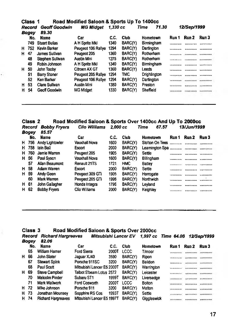|    | Class 1<br>Road Modified Saloon & Sports Up To 1400cc |                       |                    |          |         |               |       |              |            |  |
|----|-------------------------------------------------------|-----------------------|--------------------|----------|---------|---------------|-------|--------------|------------|--|
|    | Record                                                | <b>Geoff Goodwin</b>  | <b>MG Midget</b>   | 1.330 сс |         | 71.30<br>Time |       | 12/Sep/1999  |            |  |
|    | Bogey                                                 | 89.30                 |                    |          |         |               |       |              |            |  |
|    | No.                                                   | <b>Name</b>           | Car                | C.C.     | Club    | Hometown      | Run 1 | Run 2        | Run 3      |  |
|    | 749.                                                  | <b>Stuart Bullas</b>  | A H Sprite MkI     | 1340     | BARC(Y) | Birmingham    |       |              |            |  |
| H. | 752                                                   | Kevin Barker          | Peugeot 106 Railye | 1294     | BARC(Y) | Dartington    |       |              |            |  |
| н  | 47                                                    | James Sullivan        | Peugeot 205        | 1360     | BARC(Y) | Rotherham     |       | ************ |            |  |
|    | 48                                                    | Stephen Sullivan      | Austin Mini        | 1275     | BARC(Y) | Rotherham     |       |              |            |  |
|    | 49                                                    | Robin Johnson         | A H Sprite MkI     | 1340     | BARC(Y) | Birmingham    |       |              |            |  |
| н. | 50                                                    | John Tooby            | Citroen AX GT      | 1360     | BARC(Y) | Leeds         |       | <b></b>      |            |  |
|    | 51                                                    | <b>Barry Stoner</b>   | Peugeot 205 Rallye | 1294     | TMC     | Drightington  |       | ------------ |            |  |
|    | 52                                                    | <b>Ken Barker</b>     | Peugeot 106 Railve | 1294     | BARC(Y) | Dartington    |       | ************ |            |  |
| H. | 53                                                    | <b>Clare Sullivan</b> | <b>Austin Mini</b> | 1380     | BARC(Y) | Preston       |       |              | . <b>.</b> |  |
| н. | 54                                                    | Geoff Goodwin         | MG Midget          | 1330     | BARC(Y) | Sheffield     |       | ************ |            |  |
|    |                                                       |                       |                    |          |         |               |       |              |            |  |

#### **Class 2 Road Modified Saloon & Sports Over 1400cc And Up To 2000cc** *Record Bobby Fryers Ciio Wiiiiams 2,000 cc Time 67.57 13/Jun/1999 Bogey 85.57* No. Name Car C.C. Club Hometown **Run 1 Run 2 Run 3** H 756 Andy Lightowler H 758 lain Ball **Escort** 2000 BARC(Y) Learnington Spa ............ .............. H 760 Jamie Warren Peugeot 205 1905 BARC(Y) Settle .......... H 56 Paul Syson Vauxhall Nova 1600 BARC(Y) Billingham ........... ............ ...........

| 57   | Allan Beaumont      | Renault 21TS    | 1721 | <b>HMC</b> | Battey    |                     | ------------              |
|------|---------------------|-----------------|------|------------|-----------|---------------------|---------------------------|
| H 58 | Adam Warren         | Escort          | 2000 | BARC(Y)    | Settle    |                     |                           |
| H 59 | <b>Andy Geen</b>    | Peugeot 309 GTi | 1905 | BARC(Y)    | Harrogate |                     |                           |
| 60   | Mark Warren         | Peugeot 205 GTi | 1998 | BARC(Y)    | Northwich | <b>************</b> | . . <b>.</b> . <b>.</b> . |
| H 61 | John Gallagher      | Honda Integra   | 1796 | BARC(Y)    | Levland   |                     |                           |
| H 62 | <b>Bobby Fryers</b> | Clio Williams   | 2000 | BARC(Y)    | Keighlev  |                     |                           |

#### **Class 3 Road Modified Saloon & Sports Over 2000cc**

|    | Record | <b>Richard Hargreaves</b> | Mitsubishi Lancer EV       |       |         | 1,997 cc Time 64.06 12/Sep/1999 |       |              |         |
|----|--------|---------------------------|----------------------------|-------|---------|---------------------------------|-------|--------------|---------|
|    | Bogey  | 82.06                     |                            |       |         |                                 |       |              |         |
|    | No.    | Name                      | Car                        | C.C.  | Club    | Hometown                        | Run 1 | Run 2        | Run 3   |
|    | 65     | William Hamer             | Ford Sierra                | 2000T | LCCC    | T/moor                          |       |              |         |
| н. | 66     | John Slater               | Jaguar XJ40                | 3590  | BARC(Y) | Ripon                           |       | ************ |         |
|    | 67     | <b>Stewart Spink</b>      | Porsche 911SC              | 3200  | BARC(Y) | Baildon                         |       |              |         |
|    | 68     | Paul Scutt                | Mitsubishi Lancer E5 2000T |       | BARC(Y) | Warrington                      |       |              |         |
| H. | 69     | Steve Campbell            | Talbot S'beam Lotus 2572   |       | BARC(Y) | Leicester                       |       |              |         |
|    | 70     | Malcolm Pinder            | Subaru ST1                 | 1999T | BARC(Y) | Liversedge                      |       |              |         |
|    | 71     | Mark Wallwork             | Ford Cosworth              | 2000T | LCCC    | <b>Bolton</b>                   |       |              |         |
| н. | 72     | Mike Johnson              | Porsche 911                | 3200  | BARC(Y) | Malton                          |       |              |         |
| H. | 73     | Jonathan Mounsey          | Sapphire RS Cos            | 1993T | BARC(Y) | Settle                          |       |              |         |
|    | H 74   | <b>Richard Hargreaves</b> | Mitsubishi Lancer E5 1997T |       | BARC(Y) | Giggleswick                     |       |              | <b></b> |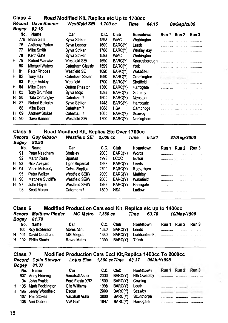|   | Class 4 |                        | Road Modified Kit, Replica etc Up to 1700cc |          |            |             |               |                          |             |       |
|---|---------|------------------------|---------------------------------------------|----------|------------|-------------|---------------|--------------------------|-------------|-------|
|   | Record  | Dave Banner            | Westfield SEi                               | 1.700 cc |            | Time        | 64.16         |                          | 09/Sep/2000 |       |
|   | Bogey   | 82.16                  |                                             |          |            |             |               |                          |             |       |
|   | No.     | Name                   | Car                                         | C.C.     | Club       | Hometown    |               | Run 1                    | Run 2       | Run 3 |
|   | 778     | <b>Brian Gate</b>      | Sylva Striker                               | 1598     | <b>WMC</b> | Workington  |               |                          |             |       |
|   | 76      | <b>Anthony Parker</b>  | Sylva Leader                                | 1600     | BARC(Y)    | Leeds       |               |                          |             |       |
|   | 77      | Mike Smith             | Sylva Striker                               | 1700     | BARC(Y)    | Whitley Bay |               | .                        |             |       |
|   | 78      | Keith Gate             | Sylva Striker                               | 1598     | <b>WMC</b> | Workington  |               |                          |             |       |
| н | 79      | Robert Warwick         | Westfield SEi                               | 1690     | BARC(Y)    |             | Knaresborough |                          |             |       |
|   | 80      | Michael Waters         | Caterham Classic                            | 1599     | BARC(Y)    | York        |               |                          |             |       |
| н | 81      | <b>Peter Rhodes</b>    | Westfield SE                                | 1690     | BARC(Y)    | Wakefield   |               |                          |             |       |
| н | 82      | Tony Hall              | Caterham Seven                              | 1690     | BARC(Y)    | Cramlington |               | ************ *********** |             | .     |
|   | 83      | Peter Ashley           | Westfield                                   | 1700     | BARC(Y)    | Sheffield   |               | .                        |             |       |
| н | 84      | Mike Geen              | <b>Dutton Phaeton</b>                       | 1360     | BARC(Y)    | Harrogate   |               |                          |             |       |
| н | 85      | <b>Tony Brumfield</b>  | Sylva Mojo                                  | 1598     | BARC(Y)    | Grimsby     |               |                          |             |       |
| н | 86      | Dale Cordingley        | Caterham 7                                  | 1600     | BARC(Y)    | Menston     |               |                          | .           |       |
| н | 87      | <b>Robert Bellerby</b> | Sylva Striker                               | 1448     | BARC(Y)    | Harrogate   |               |                          |             |       |
|   | 88      | Mike Bees              | Caterham 7                                  | 1688     | <b>HSA</b> | Cambridge   |               |                          |             |       |
| н | 89      | <b>Andrew Stokes</b>   | Caterham 7                                  | 1600     | BARC(Y)    | Scawby      |               |                          |             |       |
| н | 90      | Dave Banner            | Westfield SEi                               | 1700     | BARC(Y)    | Nottingham  |               |                          |             |       |
|   |         |                        |                                             |          |            |             |               |                          |             |       |

#### **Class 5** Road Modified Kit, Replica Etc Over 1700cc

|    | Record<br><b>Bogey</b> | <b>Guy Gibson</b><br>82.90 | <b>Westfield SEI</b>  | 2.000 cc |            | Time            | 64.81 |       | 27/Aug/2000 |         |
|----|------------------------|----------------------------|-----------------------|----------|------------|-----------------|-------|-------|-------------|---------|
|    | No.                    | Name                       | Car                   | C.C.     | Club       | <b>Hometown</b> |       | Run 1 | Run 2       | Run 3   |
|    | 91                     | Peter Needham              | Shelsley              | 2000     | BARC(Y)    | Worcs           |       |       | <b></b> .   |         |
|    | 92                     | Martin Rose                | Spartan               | 1998     | LCCC       | <b>Botton</b>   |       |       | .           |         |
|    | H 93                   | Nick Aveyard               | <b>Tiger Supercat</b> | 1998     | BARC(Y)    | Leeds           |       |       |             |         |
| H. | 94                     | <b>Vince McNeelv</b>       | Cobra Replica         | 2700     | BARC(Y)    | Rotherham       |       | .     |             |         |
|    | 95                     | Peter Walker               | <b>Westfield SEIW</b> | 2000     | BARC(Y)    | Methley         |       |       |             |         |
|    | H 96                   | Matthew Sutcliffe          | <b>Westfield SEIW</b> | 2000     | BARC(Y)    | Wakefield       |       |       |             | <b></b> |
|    | H 97                   | John Hoyle                 | Westfield SEiW        | 1998     | BARC(Y)    | Harrogate       |       |       |             |         |
|    | 98                     | Scott Moran                | Caterham 7            | 1800     | <b>HSA</b> | Ludiow          |       | .     |             |         |

#### **Class 6 Modified Production Cars excl Kit, Replica etc up to 1400cc** *Record Matthew Pinder MG IVIetro 1,380 cc Time 63.70 10/May/1998*

|  | Boaey 81.70           |             |      |                     |          |                   |   |
|--|-----------------------|-------------|------|---------------------|----------|-------------------|---|
|  | No. Name              | Car         |      | C.C. Club           | Hometown | Run 1 Run 2 Run 3 |   |
|  | 100 Roy Bolderson     | Morris Mini |      | 1380 BARC(Y) Leeds  |          | <br>              |   |
|  | H 101 David Coulthard | MG Midget   | 1380 |                     |          |                   |   |
|  | H 102 Philip Sturdy   | Rover Metro |      | 1399 BARC(Y) Thirsk |          | <br>              | . |
|  |                       |             |      |                     |          |                   |   |

#### **Class 7 Modified Production Cars Excl Kit,Replica 1400cc To 2000cc** *Record Colin Stewart Lotus Eian 1,600 ccTime 63.37 05/Jui/1998*

*Bogey 81.37* No. Name Car C.C. Club Hometown Run 1 Run 2 Run 3 907 Andy Fleming Vauxhali Astra 2000 BARC{Y) Nth Owersby 104 John Foulds Ford Fiesta XR2 1600 BARC(Y) Cowling H 105 Mark Pocklington Clio Williams 1998 BARC{Y) Louth H 106 Jenny Woodfield Escort 2000 BARC{Y) Scawby 107 Neil Stokes Vauxhali Astra 2000 BARC(Y) Scunthorpe 108 Vini Dobson VW Golf 1847 BARC(Y) Harrogate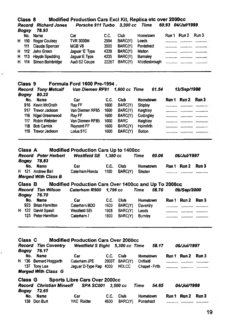|   | Modified Production Cars Excl Kit, Replica etc over 2000cc<br>Class 8 |                                                                                                 |                                                                         |                          |                 |                                             |                                                      |  |  |
|---|-----------------------------------------------------------------------|-------------------------------------------------------------------------------------------------|-------------------------------------------------------------------------|--------------------------|-----------------|---------------------------------------------|------------------------------------------------------|--|--|
|   |                                                                       | <b>Record Richard Jones</b>                                                                     | Porsche 911 Turbo 3,200 cc                                              |                          |                 | <b>Time</b>                                 | 60.93 04/Jul/1999                                    |  |  |
|   | Bogey                                                                 | 78.93                                                                                           |                                                                         |                          |                 |                                             |                                                      |  |  |
|   |                                                                       | No. Name                                                                                        | Саг                                                                     | C.C.                     | Club            | Hometown                                    | Run 1 Run 2<br>Run 3                                 |  |  |
|   | H 110                                                                 | Roger Coulsey                                                                                   | TVR 3000M                                                               | 2994                     | BARC(Y)         | Leeds                                       |                                                      |  |  |
|   | 111                                                                   | Claude Spencer                                                                                  | MGB V8                                                                  | 3500                     | BARC(Y)         | Pontefract                                  |                                                      |  |  |
| н | 112                                                                   | <b>John Green</b>                                                                               | Jaguar 'E' Type                                                         | 4339                     | BARC(Y)         | Malton                                      | <br><br>.                                            |  |  |
| H | 113                                                                   | Haydn Spedding                                                                                  | Jaquar E Type                                                           | 4235                     | BARC(Y)         | Barnsley                                    | <br>                                                 |  |  |
| н | 114                                                                   | Simon Bainbridge                                                                                | Audi S2 Coupe                                                           | 2226T                    | BARC(Y)         | Middlesbrough                               |                                                      |  |  |
|   | Class 9                                                               |                                                                                                 | Formula Ford 1600 Pre-1994.                                             |                          |                 |                                             |                                                      |  |  |
|   | Record                                                                | <b>Tony Metcalf</b>                                                                             | Van Diemen RF91                                                         |                          | 1.600 cc Time   | 61.54                                       | 13/Sep/1998                                          |  |  |
|   | Bogey                                                                 | 80.22                                                                                           |                                                                         |                          |                 |                                             |                                                      |  |  |
|   | No.                                                                   | Name                                                                                            | Car                                                                     | C.C.                     | Club            | Hometown                                    | Run 2<br>Run 3<br>Run 1                              |  |  |
|   | 916.                                                                  | Kevin McGrath                                                                                   | Ray FF                                                                  | 1600                     | BARC(Y)         | <b>Shipley</b>                              |                                                      |  |  |
|   |                                                                       | 917 Trevor Jackson                                                                              | Van Diemen RF85                                                         | 1600                     | BARC(Y)         | Keighley                                    |                                                      |  |  |
|   | 116                                                                   | Nigel Greenwood                                                                                 | Ray FF                                                                  | 1600                     | BARC(Y)         | Cottingley                                  |                                                      |  |  |
|   |                                                                       | 117 Robin Webster                                                                               | Van Diemen RF85                                                         | 1600                     | <b>BARC</b>     | Keighley                                    |                                                      |  |  |
|   | 118                                                                   | <b>Bob Carrick</b>                                                                              | Reynard FF                                                              | 1600                     | BARC(Y)         | <b>Holmfirth</b>                            | ************* ************                           |  |  |
|   |                                                                       | 119 Trevor Jackson                                                                              | Lotus 51C                                                               | 1600                     | BARC(Y)         | <b>Bolton</b>                               | <br>                                                 |  |  |
|   | Bogey<br>No.                                                          | <b>Record Peter Herbert</b><br>78.83<br>Name<br>H 121 Andrew Ball<br><b>Merged With Class B</b> | <b>Westfield SE</b><br>Car<br>Caterham Honda                            | 1.380 cc<br>C.C.<br>1100 | Club<br>BARC(Y) | Time<br>60.06<br><b>Hometown</b><br>Silsden | <i><b>06/Jul/1997</b></i><br>Run 2<br>Run 3<br>Run 1 |  |  |
|   | Class B                                                               |                                                                                                 | Modified Production Cars Over 1400cc and Up To 2000cc                   |                          |                 |                                             |                                                      |  |  |
|   | Record<br>Bogey                                                       | Tim Wilson<br>76.70                                                                             | Caterham R500                                                           | 1,796 cc                 |                 | 58.70<br>Time                               | <b>09/Sep/2000</b>                                   |  |  |
|   | No.                                                                   | <b>Name</b>                                                                                     | Car                                                                     | C.C.                     | Club            | Hometown                                    | Run 1 Run 2<br>Run 3                                 |  |  |
|   |                                                                       | 923 Brian Hamilton                                                                              | Caterham BDD                                                            | 1600                     | BARC(Y)         | Daventry                                    |                                                      |  |  |
|   |                                                                       | H 122 David Spaull                                                                              | Westfield SEi                                                           | 1905                     | BARC(Y)         | Leeds                                       |                                                      |  |  |
|   |                                                                       | 123 Peter Hamilton                                                                              | Caterham 7                                                              | 1600                     | BARC(Y)         | <b>Burnley</b>                              |                                                      |  |  |
|   |                                                                       |                                                                                                 |                                                                         |                          |                 |                                             |                                                      |  |  |
|   | Class C<br>Record<br>Bogey                                            | <b>Tim Coventry</b><br>76.17                                                                    | <b>Modified Production Cars Over 2000cc</b><br><b>Westfield S Eight</b> |                          | 5,300 cc Time   | 58.17                                       | <i><b>06/Jul/1997</b></i>                            |  |  |
|   | No.                                                                   | Name                                                                                            | Car                                                                     | C.C.                     | Club            | Hometown                                    | Run 3<br>Run 1 Run 2                                 |  |  |
|   |                                                                       | H 136 Bernard Hoggarth                                                                          | Caterham JPE                                                            |                          | 2000T BARC(Y)   | Driffield                                   |                                                      |  |  |
|   |                                                                       | 137 Tony Lea<br><b>Merged With Class G</b>                                                      | Jaguar D-Type Rep 4000                                                  |                          | HDLCC           | Chapel - Frith                              |                                                      |  |  |
|   | Class G                                                               |                                                                                                 | <b>Sports Libre Cars Over 2000cc</b>                                    |                          |                 |                                             |                                                      |  |  |
|   | Bogey                                                                 | <b>Record Christian Mineeff</b><br>72.65                                                        | SPA SC001                                                               |                          | 3,500 cc        | Time<br>54.65                               | <i><b>04/Jul/1999</b></i>                            |  |  |
|   | No.                                                                   | Name                                                                                            | Car                                                                     | c.c.                     | Club            | Hometown                                    | Run 1 Run 2<br>Run 3                                 |  |  |
|   |                                                                       | 138 Don Burt                                                                                    | YKC Raider                                                              | 4600                     | BARC(Y).        | Pontefract                                  |                                                      |  |  |

×

Ì.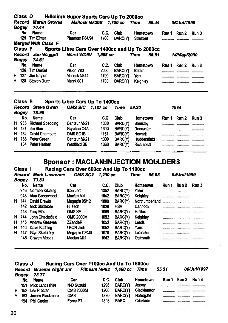|    | Class D        |                            | Hillclimb Super Sports Cars Up To 2000cc |          |                |                                                |              |                           |       |
|----|----------------|----------------------------|------------------------------------------|----------|----------------|------------------------------------------------|--------------|---------------------------|-------|
|    | Record         | <b>Martin Groves</b>       | Mallock Mk20B 1.700 cc                   |          |                | Time<br>56.44                                  |              | <i><b>05/Jul/1998</b></i> |       |
|    | Bogey          | 74.44                      |                                          |          |                |                                                |              |                           |       |
|    | No.            | <b>Name</b>                | Car                                      | C.C.     | <b>Club</b>    | Hometown                                       | Run 1        | Run 2                     | Run 3 |
|    | 125            | <b>Tim Elmer</b>           | Phantom P84/94                           | 1700     | BARC(Y)        | <b>Stratford</b>                               |              |                           |       |
|    |                | <b>Merged With Class F</b> |                                          |          |                |                                                |              |                           |       |
|    | <b>Class F</b> |                            |                                          |          |                | Sports Libre Cars Over 1400cc and Up To 2000cc |              |                           |       |
|    | Record         | <b>Jon Waggitt</b>         | Ward WD9V                                | 1,998 cc |                | Time<br>56.51                                  |              | <i><b>14/May/2000</b></i> |       |
|    | Bogey          | 74.51                      |                                          |          |                |                                                |              |                           |       |
|    | No.            | Name                       | Car                                      | C.C.     | <b>Club</b>    | Hometown                                       | Run 1        | Run 2                     | Run 3 |
|    | 126            | <b>Tim Daniel</b>          | Vision V90                               | 2000     | BARC(Y)        | <b>Bristol</b>                                 |              |                           |       |
| н. | 127            | Jim Naylor                 | Mallock Mk14                             | 1700     | BARC(Y)        | York                                           |              |                           |       |
| H. | 128            | <b>Steven Dunn</b>         | Maryk 001                                | 1700     | BARC(Y)        | Keighley                                       | ************ |                           |       |
|    |                |                            |                                          |          |                |                                                |              |                           |       |
|    | Class E        |                            | Sports Libre Cars Up To 1400cc           |          |                |                                                |              |                           |       |
|    | Record         | <b>Steve Owen</b>          | OMS S/C 1,127 cc                         |          | Time           | 59.20                                          |              | 1994                      |       |
|    | Bogey          | 78.99                      |                                          |          |                |                                                |              |                           |       |
|    | No.            | <b>Name</b>                | Car                                      | C.C.     | <b>Club</b>    | Hometown                                       | Run 1        | Run 2                     | Run 3 |
| H  | 933            | <b>Richard Spedding</b>    | Centaur Mk21                             | 1300     | BARC(Y)        | <b>Bamsley</b>                                 |              |                           |       |
| н  | 131            | ian Blair                  | Gryphon C4A                              | 1300     | BARC(Y)        | Doncaster                                      |              |                           |       |
| н  | 132            | David Chambers             | <b>OMS SC1B</b>                          | 1157     | BARC(Y)        | <b>Newark</b>                                  |              |                           |       |
| н. |                | 133 Peter Green            | Centaur Mk21                             | 1300     | <b>BARC(Y)</b> | Huddersfield                                   |              |                           |       |

#### **Sponsor: MACLAN:INJECTION MOULDERS**

*<u><u>minime</u> mannon*<sup>2</sup> *minim*e</u> *<u><u><b>IRESPERSION</u> PROPERTY*</u>

**Class 1 Racing Cars Over 600cc And Up To 110Occ**

H 133 Peter Green Centaur Mk21 1300 BARC(Y) Huddersfield SE 134 Peter Herbert Westfield SE 1380 BARC(Y) Richmond

134 Peter Herbert

| Record<br>Bogey |     | <b>Mark Lawrence</b><br>73.83 | <b>OMS SC2</b>   | 1.200 cc |                | Time            | 55.83          | 04/Jul/1999 |              |       |
|-----------------|-----|-------------------------------|------------------|----------|----------------|-----------------|----------------|-------------|--------------|-------|
|                 | No. | Name                          | Car              | C.C.     | Club           | Hometown        |                | Run 1       | Run 2        | Run 3 |
|                 |     | 946 Norman Kitching           | ikon Jedi        | 1052     | <b>BARC(Y)</b> | Yam             |                |             |              |       |
|                 | 948 | Alan Greenwood                | Macian Mkl       | 1042     | BARC(Y)        | <b>Keighley</b> |                |             |              |       |
| н.              | 141 | David Brewis                  | Megapin 95/12    | 1000     | BARC(Y)        |                 | Northumberland |             |              |       |
|                 |     | 142 Nick Skidmore             | Hi-Tech          | 1029     | <b>HSA</b>     | Cannock         |                |             |              |       |
|                 |     | 143 Tony Ellis                | <b>OMS SF</b>    | 1089     | BARC(Y)        | Halifax         |                |             |              |       |
| н.              | 144 | John Chacksfield              | <b>CMS 2000M</b> | 1052     | BARC(Y)        | Keighley        |                |             |              |       |
| н.              |     | 145 Andrew Greaves            | <b>ZZandeR</b>   | 1052     | BARC(Y)        | Leeds           |                |             |              |       |
| н               | 146 | Dave Kitching                 | I KON Jedi       | 1052     | <b>BARC(Y)</b> | Yam             |                |             |              |       |
| H.              | 147 | <b>Glyn Sketchley</b>         | Megapin CFM9     | 1070     | BARC(Y)        | Leicester       |                |             | ************ |       |
|                 | 148 | <b>Craven Moses</b>           | Maclan Mk1       | 1042     | <b>BARC(Y)</b> | Oakworth        |                |             |              |       |

|    | Racing Cars Over 1100cc And Up To 1600cc<br>Class J |                         |                  |      |                       |             |       |       |             |  |  |
|----|-----------------------------------------------------|-------------------------|------------------|------|-----------------------|-------------|-------|-------|-------------|--|--|
|    | Record                                              | <b>Graeme Wight Jnr</b> |                  |      | Pilbeam MP62 1.600 cc | Time        | 55.51 |       | 06/Jul/1997 |  |  |
|    | Boaev                                               | 73.77                   |                  |      |                       |             |       |       |             |  |  |
|    | No.                                                 | Name                    | Car              | C.C. | Club                  | Hometown    | Run 1 | Run 2 | Run 3       |  |  |
|    | 151 -                                               | <b>Mick Lancashire</b>  | N-D Suzuki       | 1298 | <b>BARC(Y)</b>        | Jersey      |       |       |             |  |  |
| н. |                                                     | 152 Les Procter         | <b>OMS 2000M</b> | 1200 | <b>BARC(Y)</b>        | Cieckheaton |       |       |             |  |  |
| н  | 153                                                 | James Blackmore         | <b>OMS</b>       | 1370 | BARC(Y)               | Harrogate   |       |       |             |  |  |
|    | 154                                                 | <b>Phil Cooke</b>       | Force PT         | 1396 | <b>BARC</b>           | Cricklade   |       |       |             |  |  |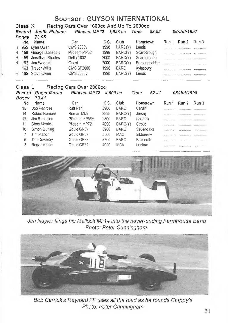| <b>Sponsor : GUYSON INTERNATIONAL</b>               |                                    |                        |                     |          |             |               |                                   |                      |                              |
|-----------------------------------------------------|------------------------------------|------------------------|---------------------|----------|-------------|---------------|-----------------------------------|----------------------|------------------------------|
| Racing Cars Over 1600cc And Up To 2000cc<br>Class K |                                    |                        |                     |          |             |               |                                   |                      |                              |
|                                                     | Record                             | <b>Justin Fletcher</b> | Pilbeam MP62        |          | 1.998 cc    | Time<br>53.93 |                                   | 06/Jul/1997          |                              |
|                                                     | Bogey                              | 73.95                  |                     |          |             |               |                                   |                      |                              |
|                                                     | No.                                | Name                   | Car                 | C.C.     | Club.       | Hometown      | Run 1                             | Run 2                | Run 3                        |
| H.                                                  | 965                                | Lynn Owen              | <b>OMS 2000v</b>    | 1998     | BARC(Y)     | Leeds         | . <i>.</i>                        | ************         | <b>ALCOHOL: NO BELL</b>      |
| H                                                   | 158                                | George Bleasdale       | Pilbeam MP62        | 1998     | BARC(Y)     | Scarborough   | .                                 | .                    |                              |
| н                                                   | 159                                | Jonathan Rhodes        | Delta T832          | 2000     | BARC(Y)     | Scarborough   | .                                 | .                    | AAAAATTTTTTTT                |
| н                                                   | 162                                | Jon Waggitt            | Quest               | 2000     | BARC(Y)     | Boroughbridge | PERMIT MANAGERS                   |                      |                              |
|                                                     | 163                                | <b>Trevor Willis</b>   | <b>OMS SF2000</b>   | 1998     | <b>BARC</b> | Aylesbury     | .                                 |                      |                              |
| H                                                   | 165                                | Steve Owen             | <b>OMS 2000v</b>    | 1998     | BARC(Y)     | Leeds         |                                   | . <b>.</b>           | .                            |
|                                                     | Racing Cars Over 2000cc<br>Class L |                        |                     |          |             |               |                                   |                      |                              |
|                                                     |                                    |                        |                     |          |             |               |                                   |                      |                              |
|                                                     | Record                             | Roger Moran            | Pilbeam MP72        | 4,000 cc |             | Time<br>52.41 |                                   | 05/Jul/1998          |                              |
|                                                     | Bogey                              | 70.41                  |                     |          |             |               |                                   |                      |                              |
|                                                     | No.                                | Name                   | Car                 | C.C.     | Club        | Hometown      | Run 1                             | Run 2                | Run 3                        |
|                                                     | 15                                 | <b>Bob Penrose</b>     | Ralt <sub>RT1</sub> | 3900     | <b>BARC</b> | Cardiff       | <b>ARRESTS FOR ALL</b>            | *************        | 121991111111                 |
|                                                     | 14                                 | Robert Romeri!         | Roman Mk5           | 3995     | BARC(Y)     | Jersey        |                                   | THERMANN AMARITIES   |                              |
|                                                     | 12                                 | Jim Robinson           | Pilbeam MP58H       | 2800     | <b>BARC</b> | Costock       |                                   | NAKAANWAH, HUESTITTI |                              |
|                                                     | 11                                 | Chris Merrick          | Pilbeam MP72        | 4000     | BARC(Y)     | Stroud        |                                   |                      |                              |
|                                                     | 10                                 | Simon Durling          | Gould GR37          | 3900     | <b>BARC</b> | Sevenoaks     | <b><i><u>INDEXSERPENT</u></i></b> |                      | The continuous concentration |
|                                                     | 7                                  | Tim Mason              | Gould GR37          | 3500     | MAC.        | Inkberrow     | Billion second                    |                      | THE REPORT OF STREET         |
|                                                     | 5<br>3                             | Tim Coventry           | Gould GR37          | 3500     | <b>BARC</b> | Falmouth      | <b>William Concerted</b>          |                      |                              |



*Jim Naylor flings his Mallock Mk14 into the never-ending Farmhouse Bend Photo; Peter Cunningham*



*Bob Carrick's Reynard FF uses all the road as he rounds Chippy's Photo: Peter Cunningham*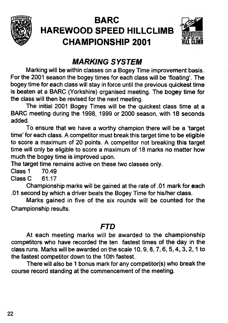

## **BARC HAREWOOD SPEED HILLCLIMB CHAMPIONSHIP 2001**



## *MARKING SYSTEM*

**Marking will be within classes on a Bogey Time improvement basis. For the 2001 season the bogey times for each class will be 'floating'. The bogey time for each class will stay in force until the previous quickest time is beaten at a BARC (Yorkshire) organised meeting. The bogey time for the class will then be revised for the next meeting.**

**The initial 2001 Bogey Times will be the quickest class time at a BARC meeting during the 1998, 1999 or 2000 season, with 18 seconds added.**

**To ensure that we have a worthy champion there will be a 'target time' for each class. A competitor must break this target time to be eligible to score a maximum of 20 points. A competitor not breaking this target time will only be eligible to score a maximum of 18 marks no matter how much the bogey time is improved upon.**

**The target time remains active on these two classes only.**

**Class 1 70.49**

Class C

**Championship marks will be gained at the rate of .01 mark for each .01 second by which a driver beats the Bogey Time for his/her class.**

**Marks gained in five of the six rounds will be counted for the Championship results.**

## *FTD*

**At each meeting marks will be awarded to the championship competitors who have recorded the ten fastest times of the day in the class runs. Marks will be awarded on the scale 10,9,8, 7,6, 5,4,3,2,1 to the fastest competitor down to the 10th fastest.**

**There will also be 1 bonus mark for any competitor(s) who break the course record standing at the commencement of the meeting.**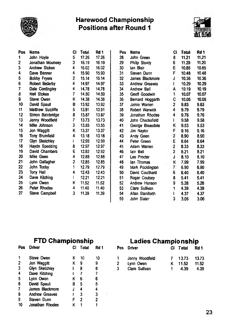

#### **Harewood Championship Positions after Round 1**



| Pos | Name                  | CI.                     | <b>Total</b> | Rd 1  |  |
|-----|-----------------------|-------------------------|--------------|-------|--|
| 1   | John Hoyle            | 5.                      | 17.26        | 17.26 |  |
| 2   | Jonathan Mounsey      | $3^{\circ}$             | 16.19        | 16.19 |  |
| 3   | <b>Andrew Stokes</b>  | 4                       | 16.02        | 16.02 |  |
| 4   | Dave Banner           | 4                       | 15.90        | 15.90 |  |
| 5   | <b>Bobby Fryers</b>   | $\overline{2}$          | 15.14        | 15.14 |  |
| 6   | Robert Bellerby       | $\overline{4}$          | 14.97        | 14.97 |  |
| 7   | Dale Cordingley       | 4                       | 14.78        | 14.78 |  |
| 8   | Neil Stokes           | 7                       | 14.50        | 14.50 |  |
| 9   | Steve Owen            | ĸ.                      | 14.38        | 14.38 |  |
| 10  | David Spaull          | в                       | 13.92        | 13.92 |  |
| 11  | Matthew Sutcliffe     | 5                       | 13.91        | 13.91 |  |
| 12  | Simon Bainbridge      | 8                       | 13.87        | 13.87 |  |
| 13  | Jenny Woodfield       | $\overline{\mathbf{r}}$ | 13.73        | 13.73 |  |
| 14  | Mike Johnson          | $\overline{\mathbf{3}}$ | 13.55        | 13.55 |  |
| 15  | Jon Waggitt           | K                       | 13.37        | 13.37 |  |
| 16  | <b>Tony Brumfield</b> | 4                       | 13.18        | 13.18 |  |
| 17  | Glyn Sketchley        | ł                       | 12.99        | 12.99 |  |
| 18  | Haydn Spedding        | 8                       | 12.97        | 12.97 |  |
| 19  | David Chambers        | Ë                       | 12.92        | 12.92 |  |
| 20  | Mike Geen             | 4                       | 12.88        | 12.88 |  |
| 21  | John Gallagher        | 2                       | 12.85        | 12.85 |  |
| 22  | John Tooby            | 1                       | 12.79        | 12.79 |  |
| 23  | Tony Hall             | 4                       | 12.43        | 12.43 |  |
| 24  | Dave Kitching         | I                       | 12.21        | 12.21 |  |
| 25  | Lynn Owen             | ĸ                       | 11.52        | 11.52 |  |
| 26  | Peter Rhodes          | 4                       | 11.40        | 11.40 |  |
| 27  | Steve Campbell        | 3                       | 11.39        | 11.39 |  |

| Pos | Name             | Ci           | <b>Total</b> | Rd 1  |
|-----|------------------|--------------|--------------|-------|
| 28  | John Green       | 8            | 11.21        | 11.21 |
| 29  | Philip Sturdy    | 6            | 11.20        | 11.20 |
| 30  | lan Blair        | E            | 10.85        | 10.85 |
| 31  | Steven Dunn      | F            | 10.48        | 10.48 |
| 32  | James Blackmore  | J            | 10.36        | 10.36 |
| 33  | Andrew Greaves   | L            | 10.29        | 10.29 |
| 34  | Andrew Ball      | A            | 10.19        | 10.19 |
| 35  | Geoff Goodwin    | 1            | 10.07        | 10.07 |
| 36  | Bernard Hoggarth | C            | 10.05        | 10.05 |
| 37  | Jamie Warren     | 2            | 9.83         | 9.83  |
| 38  | Robert Warwick   | 4            | 9.79         | 9.79  |
| 39  | Jonathan Rhodes  | 4            | 9.76         | 9.76  |
| 40  | John Chacksfield | L            | 9.58         | 9.58  |
| 41  | George Bleasdale | ĸ            | 9.53         | 9.53  |
| 42  | Jim Naylor       | Ė            | 9.16         | 9.16  |
| 43  | Andy Geen        | 2            | 8.90         | 8.90  |
| 44  | Peter Green      | E            | 8.64         | 8.64  |
| 45  | Adam Warren      | 2            | 8.33         | 8.33  |
| 46  | lain Ball        | $\mathbf{z}$ | 8.21         | 8.21  |
| 47  | Les Procter      | J            | 8.10         | 8.10  |
| 48  | lan Thomas       | Κ            | 7.99         | 7.99  |
| 49  | Mark Pocklington | 7            | 6.90         | 6.90  |
| 50  | David Coulthard  | 6            | 6.40         | 6.40  |
| 51  | Roger Coulsey    | 8            | 5.41         | 5.41  |
| 52  | Andrew Henson    | 9            | 5.28         | 5.28  |
| 53  | Clare Sullivan   | 1            | 4.39         | 4.39  |
| 54  | Allan Staniforth | ı            | 4.37         | 4.37  |
| 55  | John Slater      | 3            | 3.06         | 3.06  |

| Pos | <b>Driver</b>         | CI | Total | Rd 1 | Pos          | Driver          | СI | Total | Rd 1  |
|-----|-----------------------|----|-------|------|--------------|-----------------|----|-------|-------|
|     | Steve Owen            | κ  | 10    | 10   |              | Jenny Woodfield |    | 13.73 | 13.73 |
| 2   | Jon Waggitt           | κ  | 9     | 9    | $\mathbf{2}$ | Lynn Owen       | κ  | 11.52 | 11.52 |
| 3   | Glyn Sketchley        |    | 8     | 8    | 3            | Clare Sullivan  |    | 4.39  | 4.39  |
| 4   | Dave Kitching         |    |       |      |              |                 |    |       |       |
| 5   | Lynn Owen             | ĸ  | 6     | 6    |              |                 |    |       |       |
| 6   | David Spaull          | В  | 5     | 5    |              |                 |    |       |       |
|     | James Blackmore       | J  | 4     | 4    |              |                 |    |       |       |
| 8   | <b>Andrew Greaves</b> |    | 3     | 3    |              |                 |    |       |       |
| 9   | Steven Dunn           | F  | 2     | 2    |              |                 |    |       |       |
| 10  | Jonathan Rhodes       | ĸ  |       |      |              |                 |    |       |       |

## **FTD Championship Ladies Championship**

|   | Pos Driver      |    | CI Total | Rd 1  |
|---|-----------------|----|----------|-------|
| 1 | Jenny Woodfield |    | 13.73    | 13.73 |
| 2 | Lynn Owen       | ĸ. | 11.52    | 11.52 |
| 3 | Clare Sullivan  |    | 4.39     | 4.39  |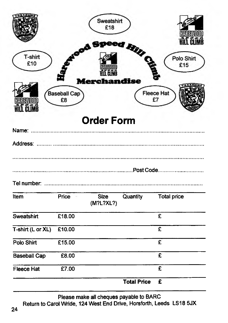|                     |                           | Sweatshirt<br>£18        |                       | KUT CIL                 |
|---------------------|---------------------------|--------------------------|-----------------------|-------------------------|
| T-shirt<br>£10      |                           |                          | d Fiili <sub>Ce</sub> | Polo Shirt<br>£15       |
| PJ IMR              | <b>Baseball Cap</b><br>£8 | Merchandise              |                       | <b>Fleece Hat</b><br>£7 |
|                     |                           | <b>Order Form</b>        |                       |                         |
|                     |                           |                          |                       |                         |
|                     |                           |                          |                       |                         |
|                     |                           |                          |                       |                         |
| Item                | Price                     | <b>Size</b><br>(M?L?XL?) | Quantity              | <b>Total price</b>      |
| Sweatshirt          | £18.00                    |                          |                       | £                       |
| T-shirt (L or XL)   | £10.00                    |                          |                       | $\overline{\mathbf{f}}$ |
| Polo Shirt          | £15.00                    |                          |                       | $\overline{\mathbf{E}}$ |
| <b>Baseball Cap</b> | £8.00                     |                          |                       | $\overline{\mathbf{f}}$ |
| <b>Fleece Hat</b>   | £7.00                     |                          |                       | £                       |
|                     |                           |                          | <b>Total Price</b>    | £                       |

**Please make all cheques payable to BARC Return to Carol Wride, 124 West End Drive, Horsforth, Leeds LS18 5JX**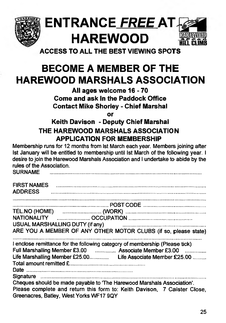

# **ENTRANCE** *FREE* **HAREWOOD SPEED**

**ACCESS TO ALL THE BEST VIEWING SPOTS**

# **BECOME A MEMBER OF THE HAREWOOD MARSHALS ASSOCIATION**

**All ages welcome 16-70 Come and ask In the Paddock Office Contact Mike Shorley - Chief Marshal**

**or**

## **Keith Davison > Deputy Chief Marshal THE HAREWOOD MARSHALS ASSOCIATION APPLICATION FOR MEMBERSHIP**

**Membership runs for 12 months from 1st March each year. Members joining after 1st January will be entitled to membership until 1st March of the following year. I desire to join the Harewood Marshals Association and** I **undertake to abide by the rules of the Association.**

| <b>SURNAME</b>                                                                                                                                                                                |
|-----------------------------------------------------------------------------------------------------------------------------------------------------------------------------------------------|
| <b>ADDRESS</b>                                                                                                                                                                                |
|                                                                                                                                                                                               |
|                                                                                                                                                                                               |
|                                                                                                                                                                                               |
| USUAL MARSHALLING DUTY (if any) Factor and the contract of the USUAL MARSHALLING DUTY (if any)                                                                                                |
| ARE YOU A MEMBER OF ANY OTHER MOTOR CLUBS (if so, please state)                                                                                                                               |
| I enclose remittance for the following category of membership (Please tick)<br>Full Marshalling Member £3.00  Associate Member £3.00                                                          |
| Cheques should be made payable to 'The Harewood Marshals Association'.<br>Please complete and return this form to: Keith Davison, 7 Caister Close,<br>Greenacres, Batley, West Yorks WF17 9QY |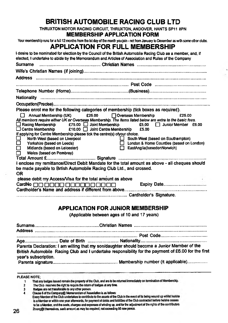#### **BRITISH AUTOMOBILE RACING CLUB LTD**

**THRUXTON MOTOR RACING CIRCUIT. THRUXTON, ANDOVER. HANTS SP11 8PN**

#### **MEMBERSHIP APPLICATION FORM**

Your membership runs for a full 12 months from the 1st day of the month you join - not from January to December as with some other clubs.

#### **APPLICATION FOR FULL MEMBERSHIP**

| I desire to be nominated for election by the Council of the British Automobile Racing Club as a member, and, if<br>elected, I undertake to abide by the Memorandum and Articles of Association and Rules of the Company                                                                                                                                                                                                                                                                                                                                                                                                                        |                                                                                                                              |
|------------------------------------------------------------------------------------------------------------------------------------------------------------------------------------------------------------------------------------------------------------------------------------------------------------------------------------------------------------------------------------------------------------------------------------------------------------------------------------------------------------------------------------------------------------------------------------------------------------------------------------------------|------------------------------------------------------------------------------------------------------------------------------|
|                                                                                                                                                                                                                                                                                                                                                                                                                                                                                                                                                                                                                                                |                                                                                                                              |
|                                                                                                                                                                                                                                                                                                                                                                                                                                                                                                                                                                                                                                                |                                                                                                                              |
|                                                                                                                                                                                                                                                                                                                                                                                                                                                                                                                                                                                                                                                |                                                                                                                              |
|                                                                                                                                                                                                                                                                                                                                                                                                                                                                                                                                                                                                                                                |                                                                                                                              |
|                                                                                                                                                                                                                                                                                                                                                                                                                                                                                                                                                                                                                                                |                                                                                                                              |
|                                                                                                                                                                                                                                                                                                                                                                                                                                                                                                                                                                                                                                                |                                                                                                                              |
|                                                                                                                                                                                                                                                                                                                                                                                                                                                                                                                                                                                                                                                |                                                                                                                              |
| Please enrol me for the following categories of membership (tick boxes as required).                                                                                                                                                                                                                                                                                                                                                                                                                                                                                                                                                           |                                                                                                                              |
| Annual Membership (UK) £25.00 [ Overseas Membership<br>All members require either UK or Overseas Membership. The items listed below are extra to the basic fees.<br>$\Box$ Centre Membership $\Box$ 210.00 $\Box$ Joint Centre Membership £5.00<br>If applying for Centre Membership please tick the centre(s) ofyour choice.<br>North West (based on Liverpool<br>ப<br>Yorkshire (based on Leeds)<br>□<br>Midlands (based on Leicester)<br>Wales (based on Pembrey)<br>I enclose my remittance/Direct Debit Mandate for the total amount as above - all cheques should<br>be made payable to Brtish Automobile Racing Club Ltd., and crossed. | E25.00<br>$\Box$ South West (based on Southampton)<br>London & Home Counties (based on London)<br>EastAnglia(basedonNorwich) |
| <b>OR</b><br>please debit my Access/Visa for the total amount as above                                                                                                                                                                                                                                                                                                                                                                                                                                                                                                                                                                         |                                                                                                                              |
| Cardholder's Name and address if different from above                                                                                                                                                                                                                                                                                                                                                                                                                                                                                                                                                                                          |                                                                                                                              |
|                                                                                                                                                                                                                                                                                                                                                                                                                                                                                                                                                                                                                                                |                                                                                                                              |

#### **APPLICATION FOR JUNIOR MEMBERSHIP**

**(Applicable between ages of 10 and 17 years)**

**Surname......................................................... Christian Nam es................................................................. Address ......................................................................................................................................................... ........................................................................................................... Post Code........................................... Age............................. Date of Birth .............................Nationality............................................................. Parents Declaration: I am willing that my son/daughter should become a Junior Member of the British Automobile Racing Club and I undertake responsibility for the payment of £6.00 for the first year's subscription. Parents signature......................................................... Membership number (It applicable)...................**

- The Club reserves the right to require the raturn of badges at any time.
- **3** Badges are not transferable to any other person.<br>A Clause 6 of the Company® Meanorandum of Asset
- 

Clause 6 of the Company@ Memorandum of Association is as follows:<br>Every Member of the Club undertakes to contribute to the assets of the Club in the event of its being wound up whilst he/she is a Member or within one year afterwards, for payment of debts and liabilities of the Club contracted before he/she ceases to be a Member, and the costs, charges and expenses of winding up, and for the adjustment of the rights of the contributors **Znonggtthentselves. such atnount as may be required, not exceeing SC now penco.**

PLEASE NOTE;<br>1 That any badges issued remain the property of the Club, and are to be returned immediately on termination of Membership. **1**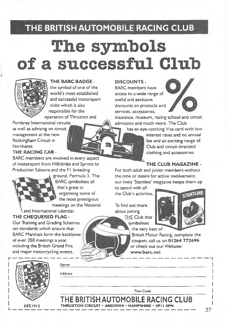## **THE BRITISH AUTOMOBILE RACING CLUB**

# **The symbols of a successful Club**



#### **THE BARC BADGE -**

the symbol of one of the world's most established and successful motorsport dubs which is also responsible for the operation of Thruxton and

Pembrey International circuits as well as advising on circuit management at the new Rockingham Circuit in Northants.

**THE RACING CAR -**

BARC members are involved in every aspect of motorsport from Hillclimbs and Sprints to Production Saloons and the FI breeding



ground, Formula 3. The BARC symbolises all that's great in organising some of the most prestigious

meetings on the National and International calendar.

Name:

Address

**THE CHEQUERED FLAG -**

Our Training and Grading Schemes set standards which ensure that BARC Marshals form the backbone of over 350 meetings a year, including the British Grand Prix and major motorcycling events.



 $FST1912$ 

#### **DISCOUNTS -**

BARC members have access to a wide range of useful and exclusive discounts on products and services, accessories,



insurance, museum, racing school and circuit admission and much more. The Club

has an eye-catching Visa card with low

interest rates and no annual fee and an exciting range of Club and circuit-branded clothing and accessories.

#### **THE CLUB MAGAZINE -**

For both adult and junior members without the time or desire for active involvement, our lively 'Stardine' magazine keeps them up

to speed with all the Club's activities.

To find out more about joining *THE* Club that symbolises



British Motor Racing, complete the coupon, call us on 01264 772696 or check out our Website: www.barc.net

|                                                   | Post Code                          |
|---------------------------------------------------|------------------------------------|
|                                                   | THE BRITISH AUTOMOBILE RACING CLUB |
| THRUXTON CIRCUIT . ANDOVER . HAMPSHIRE . SPIT 8PN |                                    |